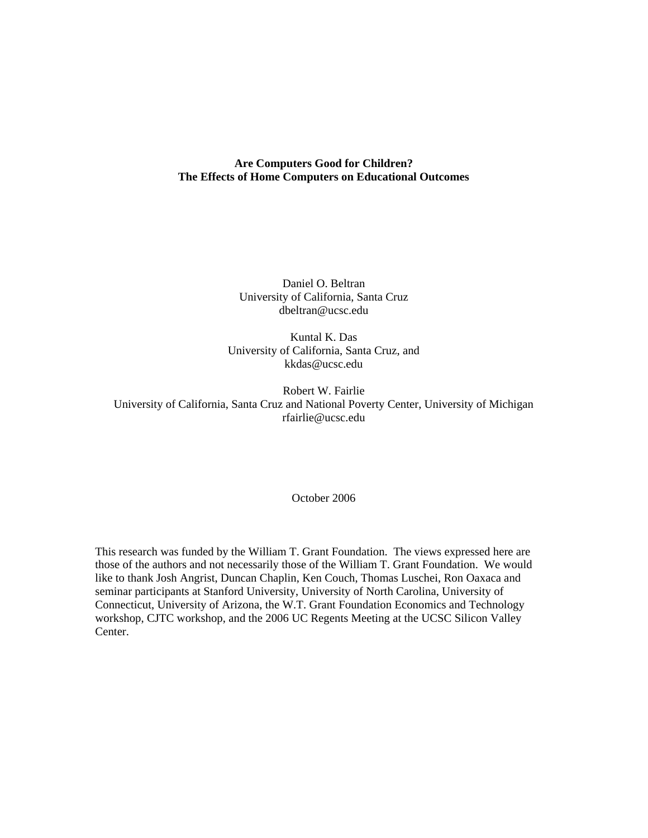## **Are Computers Good for Children? The Effects of Home Computers on Educational Outcomes**

Daniel O. Beltran University of California, Santa Cruz dbeltran@ucsc.edu

Kuntal K. Das University of California, Santa Cruz, and kkdas@ucsc.edu

Robert W. Fairlie University of California, Santa Cruz and National Poverty Center, University of Michigan rfairlie@ucsc.edu

October 2006

This research was funded by the William T. Grant Foundation. The views expressed here are those of the authors and not necessarily those of the William T. Grant Foundation. We would like to thank Josh Angrist, Duncan Chaplin, Ken Couch, Thomas Luschei, Ron Oaxaca and seminar participants at Stanford University, University of North Carolina, University of Connecticut, University of Arizona, the W.T. Grant Foundation Economics and Technology workshop, CJTC workshop, and the 2006 UC Regents Meeting at the UCSC Silicon Valley Center.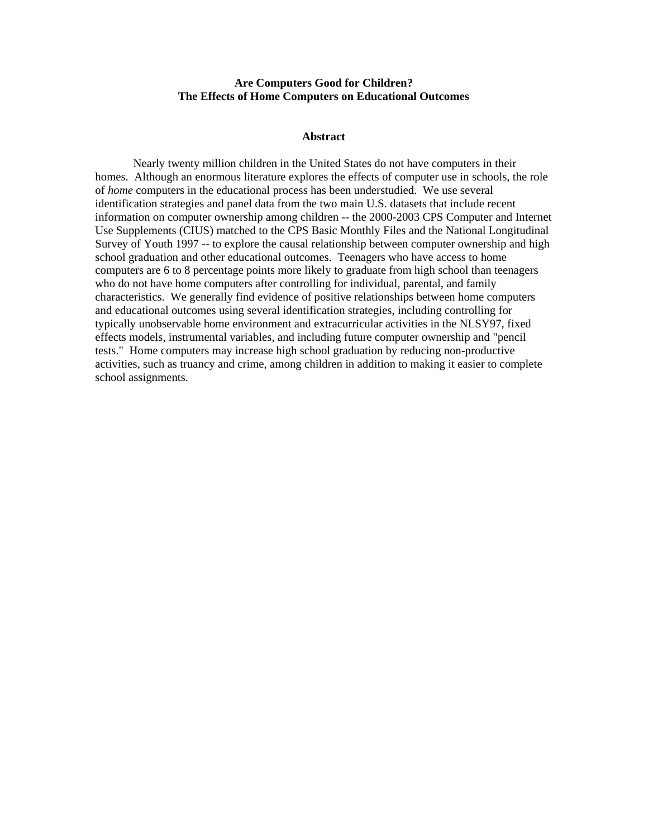### **Are Computers Good for Children? The Effects of Home Computers on Educational Outcomes**

#### **Abstract**

 Nearly twenty million children in the United States do not have computers in their homes. Although an enormous literature explores the effects of computer use in schools, the role of *home* computers in the educational process has been understudied. We use several identification strategies and panel data from the two main U.S. datasets that include recent information on computer ownership among children -- the 2000-2003 CPS Computer and Internet Use Supplements (CIUS) matched to the CPS Basic Monthly Files and the National Longitudinal Survey of Youth 1997 -- to explore the causal relationship between computer ownership and high school graduation and other educational outcomes. Teenagers who have access to home computers are 6 to 8 percentage points more likely to graduate from high school than teenagers who do not have home computers after controlling for individual, parental, and family characteristics. We generally find evidence of positive relationships between home computers and educational outcomes using several identification strategies, including controlling for typically unobservable home environment and extracurricular activities in the NLSY97, fixed effects models, instrumental variables, and including future computer ownership and "pencil tests." Home computers may increase high school graduation by reducing non-productive activities, such as truancy and crime, among children in addition to making it easier to complete school assignments.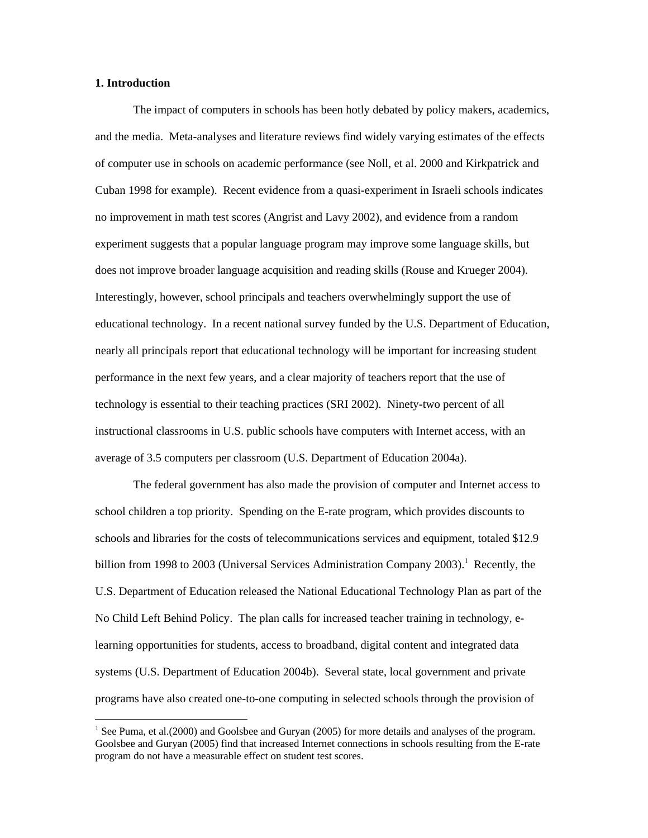#### **1. Introduction**

 $\overline{a}$ 

 The impact of computers in schools has been hotly debated by policy makers, academics, and the media. Meta-analyses and literature reviews find widely varying estimates of the effects of computer use in schools on academic performance (see Noll, et al. 2000 and Kirkpatrick and Cuban 1998 for example). Recent evidence from a quasi-experiment in Israeli schools indicates no improvement in math test scores (Angrist and Lavy 2002), and evidence from a random experiment suggests that a popular language program may improve some language skills, but does not improve broader language acquisition and reading skills (Rouse and Krueger 2004). Interestingly, however, school principals and teachers overwhelmingly support the use of educational technology. In a recent national survey funded by the U.S. Department of Education, nearly all principals report that educational technology will be important for increasing student performance in the next few years, and a clear majority of teachers report that the use of technology is essential to their teaching practices (SRI 2002). Ninety-two percent of all instructional classrooms in U.S. public schools have computers with Internet access, with an average of 3.5 computers per classroom (U.S. Department of Education 2004a).

 The federal government has also made the provision of computer and Internet access to school children a top priority. Spending on the E-rate program, which provides discounts to schools and libraries for the costs of telecommunications services and equipment, totaled \$12.9 billion from 1998 to 2003 (Universal Services Administration Company 2003).<sup>1</sup> Recently, the U.S. Department of Education released the National Educational Technology Plan as part of the No Child Left Behind Policy. The plan calls for increased teacher training in technology, elearning opportunities for students, access to broadband, digital content and integrated data systems (U.S. Department of Education 2004b). Several state, local government and private programs have also created one-to-one computing in selected schools through the provision of

<sup>&</sup>lt;sup>1</sup> See Puma, et al.(2000) and Goolsbee and Guryan (2005) for more details and analyses of the program. Goolsbee and Guryan (2005) find that increased Internet connections in schools resulting from the E-rate program do not have a measurable effect on student test scores.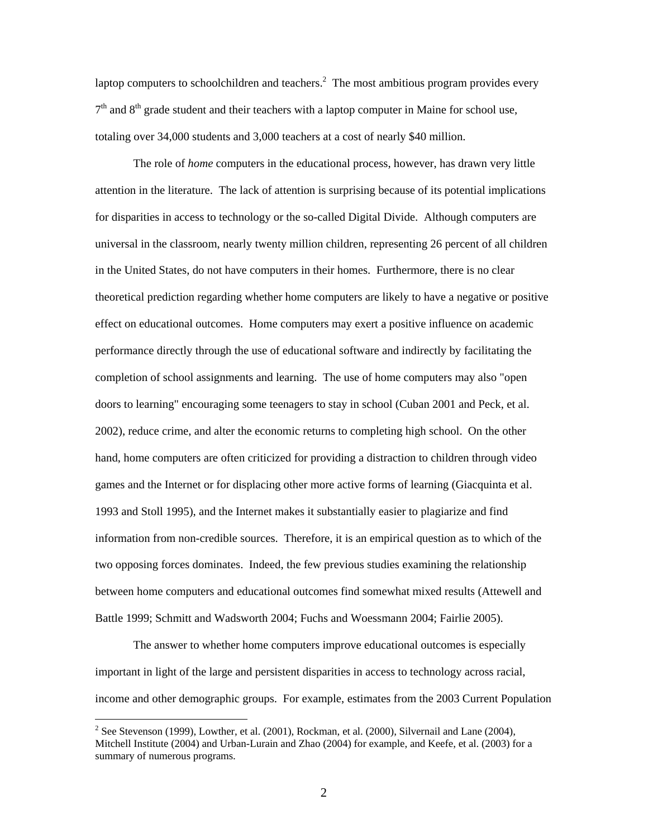laptop computers to schoolchildren and teachers.<sup>2</sup> The most ambitious program provides every  $7<sup>th</sup>$  and  $8<sup>th</sup>$  grade student and their teachers with a laptop computer in Maine for school use, totaling over 34,000 students and 3,000 teachers at a cost of nearly \$40 million.

 The role of *home* computers in the educational process, however, has drawn very little attention in the literature. The lack of attention is surprising because of its potential implications for disparities in access to technology or the so-called Digital Divide. Although computers are universal in the classroom, nearly twenty million children, representing 26 percent of all children in the United States, do not have computers in their homes. Furthermore, there is no clear theoretical prediction regarding whether home computers are likely to have a negative or positive effect on educational outcomes. Home computers may exert a positive influence on academic performance directly through the use of educational software and indirectly by facilitating the completion of school assignments and learning. The use of home computers may also "open doors to learning" encouraging some teenagers to stay in school (Cuban 2001 and Peck, et al. 2002), reduce crime, and alter the economic returns to completing high school. On the other hand, home computers are often criticized for providing a distraction to children through video games and the Internet or for displacing other more active forms of learning (Giacquinta et al. 1993 and Stoll 1995), and the Internet makes it substantially easier to plagiarize and find information from non-credible sources. Therefore, it is an empirical question as to which of the two opposing forces dominates. Indeed, the few previous studies examining the relationship between home computers and educational outcomes find somewhat mixed results (Attewell and Battle 1999; Schmitt and Wadsworth 2004; Fuchs and Woessmann 2004; Fairlie 2005).

 The answer to whether home computers improve educational outcomes is especially important in light of the large and persistent disparities in access to technology across racial, income and other demographic groups. For example, estimates from the 2003 Current Population

<sup>&</sup>lt;sup>2</sup> See Stevenson (1999), Lowther, et al. (2001), Rockman, et al. (2000), Silvernail and Lane (2004), Mitchell Institute (2004) and Urban-Lurain and Zhao (2004) for example, and Keefe, et al. (2003) for a summary of numerous programs.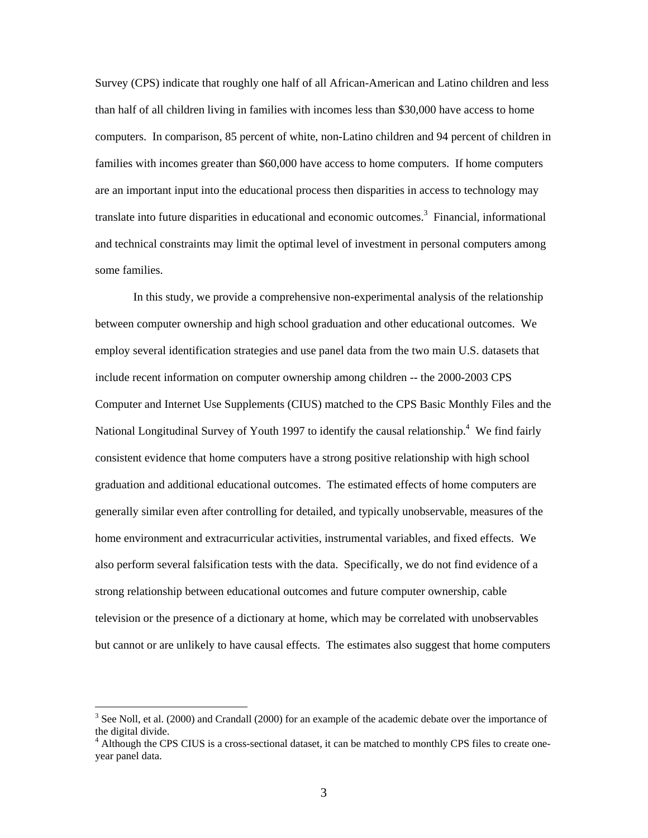Survey (CPS) indicate that roughly one half of all African-American and Latino children and less than half of all children living in families with incomes less than \$30,000 have access to home computers. In comparison, 85 percent of white, non-Latino children and 94 percent of children in families with incomes greater than \$60,000 have access to home computers. If home computers are an important input into the educational process then disparities in access to technology may translate into future disparities in educational and economic outcomes.<sup>3</sup> Financial, informational and technical constraints may limit the optimal level of investment in personal computers among some families.

 In this study, we provide a comprehensive non-experimental analysis of the relationship between computer ownership and high school graduation and other educational outcomes. We employ several identification strategies and use panel data from the two main U.S. datasets that include recent information on computer ownership among children -- the 2000-2003 CPS Computer and Internet Use Supplements (CIUS) matched to the CPS Basic Monthly Files and the National Longitudinal Survey of Youth 1997 to identify the causal relationship.<sup>4</sup> We find fairly consistent evidence that home computers have a strong positive relationship with high school graduation and additional educational outcomes. The estimated effects of home computers are generally similar even after controlling for detailed, and typically unobservable, measures of the home environment and extracurricular activities, instrumental variables, and fixed effects. We also perform several falsification tests with the data. Specifically, we do not find evidence of a strong relationship between educational outcomes and future computer ownership, cable television or the presence of a dictionary at home, which may be correlated with unobservables but cannot or are unlikely to have causal effects. The estimates also suggest that home computers

 $3$  See Noll, et al. (2000) and Crandall (2000) for an example of the academic debate over the importance of the digital divide.

<sup>&</sup>lt;sup>4</sup> Although the CPS CIUS is a cross-sectional dataset, it can be matched to monthly CPS files to create oneyear panel data.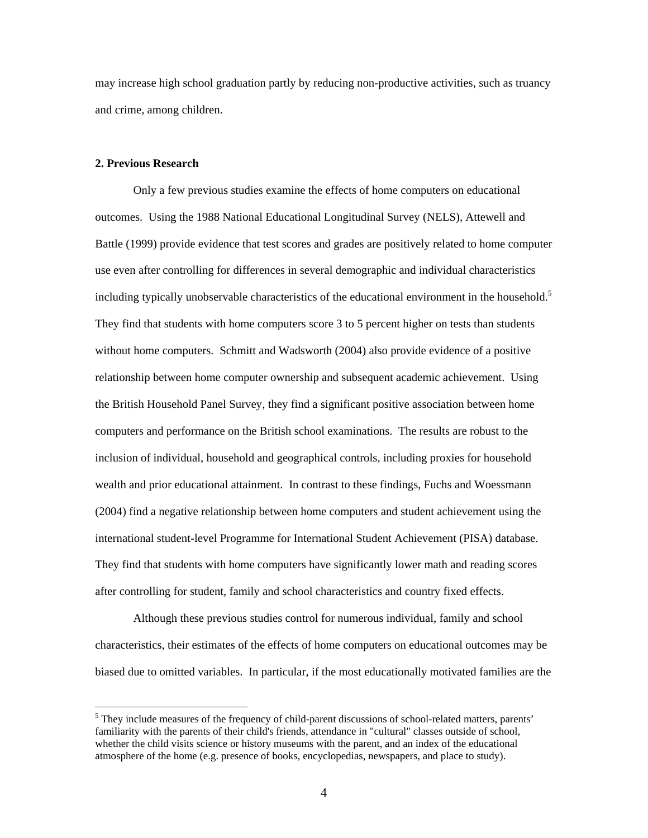may increase high school graduation partly by reducing non-productive activities, such as truancy and crime, among children.

### **2. Previous Research**

 $\overline{a}$ 

Only a few previous studies examine the effects of home computers on educational outcomes. Using the 1988 National Educational Longitudinal Survey (NELS), Attewell and Battle (1999) provide evidence that test scores and grades are positively related to home computer use even after controlling for differences in several demographic and individual characteristics including typically unobservable characteristics of the educational environment in the household.<sup>5</sup> They find that students with home computers score 3 to 5 percent higher on tests than students without home computers. Schmitt and Wadsworth (2004) also provide evidence of a positive relationship between home computer ownership and subsequent academic achievement. Using the British Household Panel Survey, they find a significant positive association between home computers and performance on the British school examinations. The results are robust to the inclusion of individual, household and geographical controls, including proxies for household wealth and prior educational attainment. In contrast to these findings, Fuchs and Woessmann (2004) find a negative relationship between home computers and student achievement using the international student-level Programme for International Student Achievement (PISA) database. They find that students with home computers have significantly lower math and reading scores after controlling for student, family and school characteristics and country fixed effects.

Although these previous studies control for numerous individual, family and school characteristics, their estimates of the effects of home computers on educational outcomes may be biased due to omitted variables. In particular, if the most educationally motivated families are the

<sup>&</sup>lt;sup>5</sup> They include measures of the frequency of child-parent discussions of school-related matters, parents' familiarity with the parents of their child's friends, attendance in "cultural" classes outside of school, whether the child visits science or history museums with the parent, and an index of the educational atmosphere of the home (e.g. presence of books, encyclopedias, newspapers, and place to study).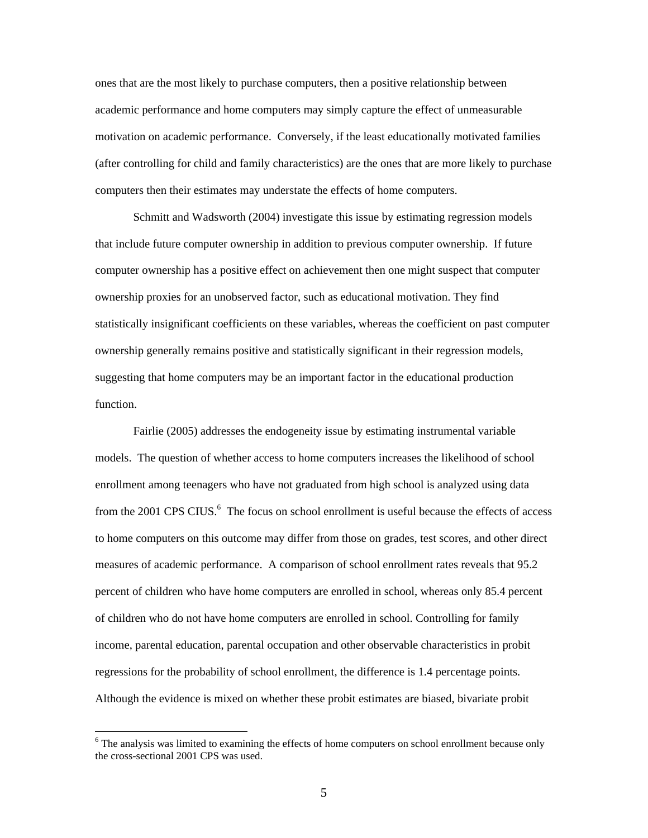ones that are the most likely to purchase computers, then a positive relationship between academic performance and home computers may simply capture the effect of unmeasurable motivation on academic performance. Conversely, if the least educationally motivated families (after controlling for child and family characteristics) are the ones that are more likely to purchase computers then their estimates may understate the effects of home computers.

Schmitt and Wadsworth (2004) investigate this issue by estimating regression models that include future computer ownership in addition to previous computer ownership. If future computer ownership has a positive effect on achievement then one might suspect that computer ownership proxies for an unobserved factor, such as educational motivation. They find statistically insignificant coefficients on these variables, whereas the coefficient on past computer ownership generally remains positive and statistically significant in their regression models, suggesting that home computers may be an important factor in the educational production function.

Fairlie (2005) addresses the endogeneity issue by estimating instrumental variable models. The question of whether access to home computers increases the likelihood of school enrollment among teenagers who have not graduated from high school is analyzed using data from the 2001 CPS CIUS.<sup>6</sup> The focus on school enrollment is useful because the effects of access to home computers on this outcome may differ from those on grades, test scores, and other direct measures of academic performance. A comparison of school enrollment rates reveals that 95.2 percent of children who have home computers are enrolled in school, whereas only 85.4 percent of children who do not have home computers are enrolled in school. Controlling for family income, parental education, parental occupation and other observable characteristics in probit regressions for the probability of school enrollment, the difference is 1.4 percentage points. Although the evidence is mixed on whether these probit estimates are biased, bivariate probit

<sup>&</sup>lt;sup>6</sup> The analysis was limited to examining the effects of home computers on school enrollment because only the cross-sectional 2001 CPS was used.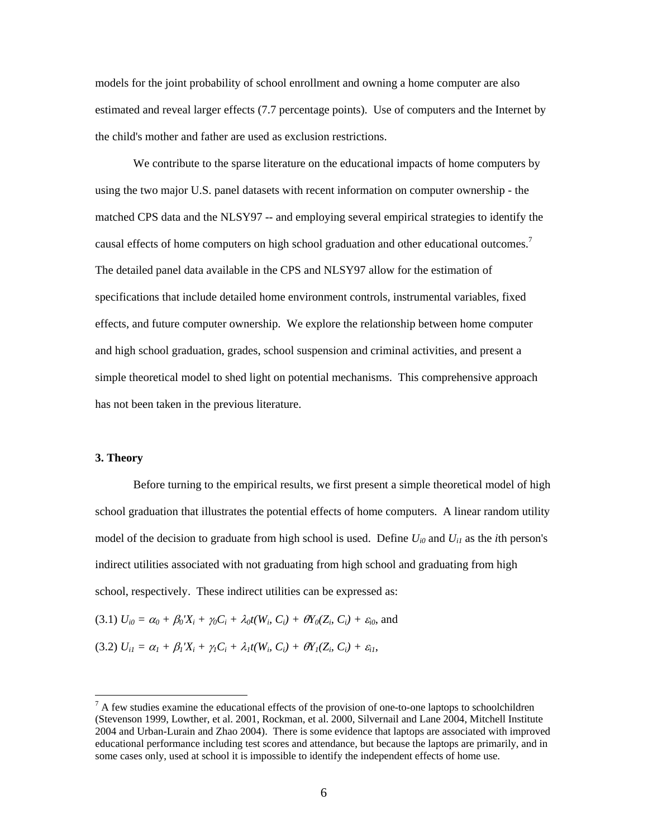models for the joint probability of school enrollment and owning a home computer are also estimated and reveal larger effects (7.7 percentage points). Use of computers and the Internet by the child's mother and father are used as exclusion restrictions.

 We contribute to the sparse literature on the educational impacts of home computers by using the two major U.S. panel datasets with recent information on computer ownership - the matched CPS data and the NLSY97 -- and employing several empirical strategies to identify the causal effects of home computers on high school graduation and other educational outcomes.<sup>7</sup> The detailed panel data available in the CPS and NLSY97 allow for the estimation of specifications that include detailed home environment controls, instrumental variables, fixed effects, and future computer ownership. We explore the relationship between home computer and high school graduation, grades, school suspension and criminal activities, and present a simple theoretical model to shed light on potential mechanisms. This comprehensive approach has not been taken in the previous literature.

### **3. Theory**

 $\overline{a}$ 

 Before turning to the empirical results, we first present a simple theoretical model of high school graduation that illustrates the potential effects of home computers. A linear random utility model of the decision to graduate from high school is used. Define  $U_{i0}$  and  $U_{i1}$  as the *i*th person's indirect utilities associated with not graduating from high school and graduating from high school, respectively. These indirect utilities can be expressed as:

 $(3.1)$   $U_{i0} = \alpha_0 + \beta_0' X_i + \gamma_0 C_i + \lambda_0 t(W_i, C_i) + \theta Y_0(Z_i, C_i) + \varepsilon_{i0}$ , and  $(3.2) U_{ii} = \alpha_1 + \beta_1' X_i + \gamma_1 C_i + \lambda_1 t(W_i, C_i) + \theta Y_1(Z_i, C_i) + \varepsilon_i I$ 

 $<sup>7</sup>$  A few studies examine the educational effects of the provision of one-to-one laptops to schoolchildren</sup> (Stevenson 1999, Lowther, et al. 2001, Rockman, et al. 2000, Silvernail and Lane 2004, Mitchell Institute 2004 and Urban-Lurain and Zhao 2004). There is some evidence that laptops are associated with improved educational performance including test scores and attendance, but because the laptops are primarily, and in some cases only, used at school it is impossible to identify the independent effects of home use.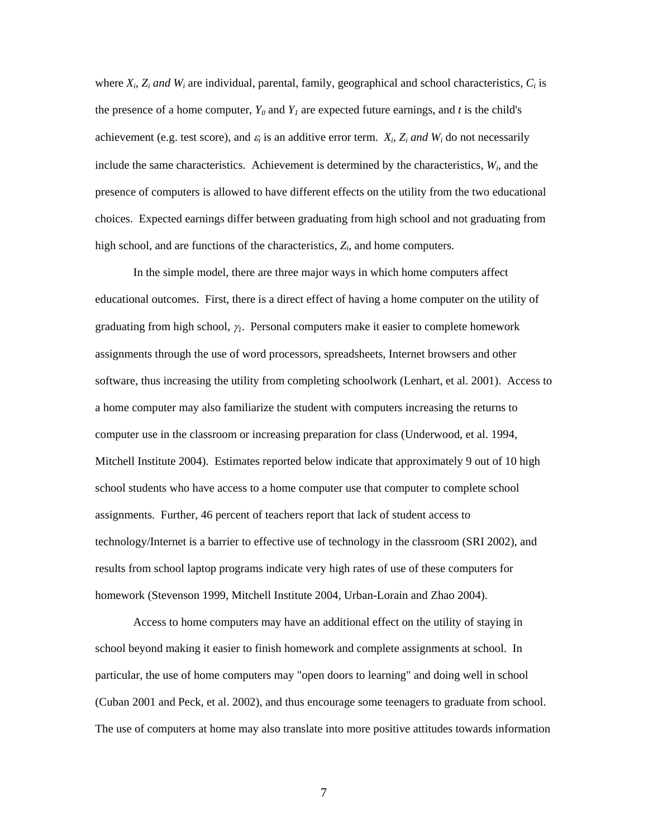where  $X_i$ ,  $Z_i$  and  $W_i$  are individual, parental, family, geographical and school characteristics,  $C_i$  is the presence of a home computer,  $Y_0$  and  $Y_1$  are expected future earnings, and *t* is the child's achievement (e.g. test score), and  $\varepsilon_i$  is an additive error term.  $X_i$ ,  $Z_i$  and  $W_i$  do not necessarily include the same characteristics. Achievement is determined by the characteristics, *Wi*, and the presence of computers is allowed to have different effects on the utility from the two educational choices. Expected earnings differ between graduating from high school and not graduating from high school, and are functions of the characteristics, *Zi*, and home computers.

 In the simple model, there are three major ways in which home computers affect educational outcomes. First, there is a direct effect of having a home computer on the utility of graduating from high school, <sup>γ</sup>*1*. Personal computers make it easier to complete homework assignments through the use of word processors, spreadsheets, Internet browsers and other software, thus increasing the utility from completing schoolwork (Lenhart, et al. 2001). Access to a home computer may also familiarize the student with computers increasing the returns to computer use in the classroom or increasing preparation for class (Underwood, et al. 1994, Mitchell Institute 2004). Estimates reported below indicate that approximately 9 out of 10 high school students who have access to a home computer use that computer to complete school assignments. Further, 46 percent of teachers report that lack of student access to technology/Internet is a barrier to effective use of technology in the classroom (SRI 2002), and results from school laptop programs indicate very high rates of use of these computers for homework (Stevenson 1999, Mitchell Institute 2004, Urban-Lorain and Zhao 2004).

 Access to home computers may have an additional effect on the utility of staying in school beyond making it easier to finish homework and complete assignments at school. In particular, the use of home computers may "open doors to learning" and doing well in school (Cuban 2001 and Peck, et al. 2002), and thus encourage some teenagers to graduate from school. The use of computers at home may also translate into more positive attitudes towards information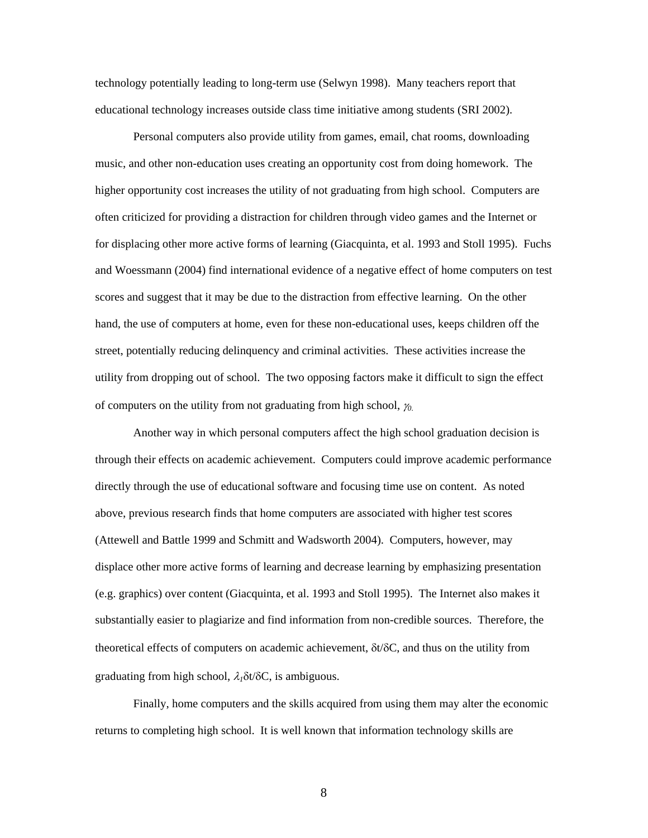technology potentially leading to long-term use (Selwyn 1998). Many teachers report that educational technology increases outside class time initiative among students (SRI 2002).

 Personal computers also provide utility from games, email, chat rooms, downloading music, and other non-education uses creating an opportunity cost from doing homework. The higher opportunity cost increases the utility of not graduating from high school. Computers are often criticized for providing a distraction for children through video games and the Internet or for displacing other more active forms of learning (Giacquinta, et al. 1993 and Stoll 1995). Fuchs and Woessmann (2004) find international evidence of a negative effect of home computers on test scores and suggest that it may be due to the distraction from effective learning. On the other hand, the use of computers at home, even for these non-educational uses, keeps children off the street, potentially reducing delinquency and criminal activities. These activities increase the utility from dropping out of school. The two opposing factors make it difficult to sign the effect of computers on the utility from not graduating from high school, <sup>γ</sup>*0*.

Another way in which personal computers affect the high school graduation decision is through their effects on academic achievement. Computers could improve academic performance directly through the use of educational software and focusing time use on content. As noted above, previous research finds that home computers are associated with higher test scores (Attewell and Battle 1999 and Schmitt and Wadsworth 2004). Computers, however, may displace other more active forms of learning and decrease learning by emphasizing presentation (e.g. graphics) over content (Giacquinta, et al. 1993 and Stoll 1995). The Internet also makes it substantially easier to plagiarize and find information from non-credible sources. Therefore, the theoretical effects of computers on academic achievement,  $\delta t/\delta C$ , and thus on the utility from graduating from high school, λ*1*δt/δC, is ambiguous.

 Finally, home computers and the skills acquired from using them may alter the economic returns to completing high school. It is well known that information technology skills are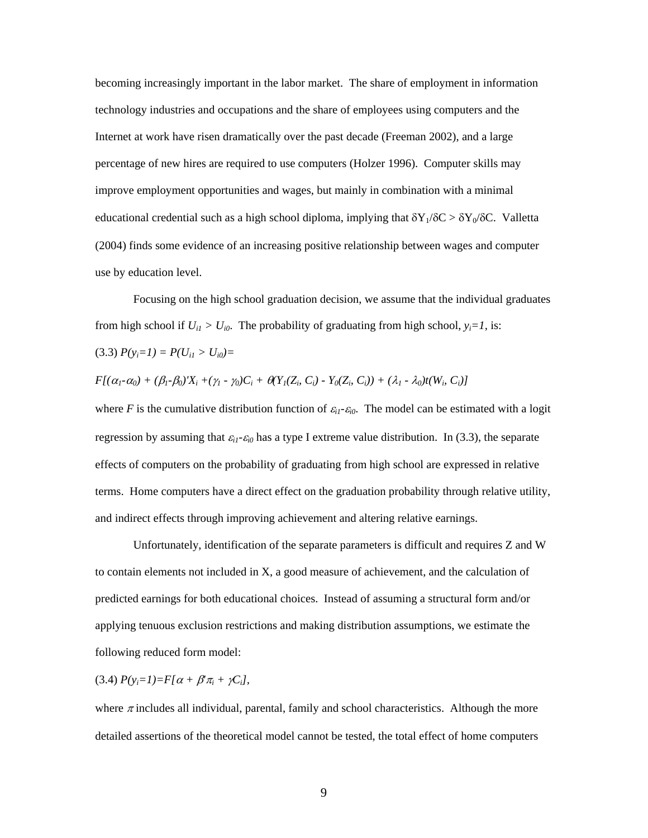becoming increasingly important in the labor market. The share of employment in information technology industries and occupations and the share of employees using computers and the Internet at work have risen dramatically over the past decade (Freeman 2002), and a large percentage of new hires are required to use computers (Holzer 1996). Computer skills may improve employment opportunities and wages, but mainly in combination with a minimal educational credential such as a high school diploma, implying that  $\delta Y_1/\delta C > \delta Y_0/\delta C$ . Valletta (2004) finds some evidence of an increasing positive relationship between wages and computer use by education level.

 Focusing on the high school graduation decision, we assume that the individual graduates from high school if  $U_{i1} > U_{i0}$ . The probability of graduating from high school,  $y_i = 1$ , is: (3.3)  $P(y_i=1) = P(U_{i1} > U_{i0}) =$ 

$$
F[(\alpha_I-\alpha_0)+(\beta_I-\beta_0)X_i+(\gamma_I-\gamma_0)C_i+\theta(Y_I(Z_i,C_i)-Y_0(Z_i,C_i))+(\lambda_I-\lambda_0)t(W_i,C_i)]
$$

where *F* is the cumulative distribution function of  $\varepsilon_{i1}$ - $\varepsilon_{i0}$ . The model can be estimated with a logit regression by assuming that  $\varepsilon_{i1}$ - $\varepsilon_{i0}$  has a type I extreme value distribution. In (3.3), the separate effects of computers on the probability of graduating from high school are expressed in relative terms. Home computers have a direct effect on the graduation probability through relative utility, and indirect effects through improving achievement and altering relative earnings.

 Unfortunately, identification of the separate parameters is difficult and requires Z and W to contain elements not included in X, a good measure of achievement, and the calculation of predicted earnings for both educational choices. Instead of assuming a structural form and/or applying tenuous exclusion restrictions and making distribution assumptions, we estimate the following reduced form model:

$$
(3.4) P(y_i=1)=F[\alpha + \beta'\pi_i + \gamma C_i],
$$

where  $\pi$  includes all individual, parental, family and school characteristics. Although the more detailed assertions of the theoretical model cannot be tested, the total effect of home computers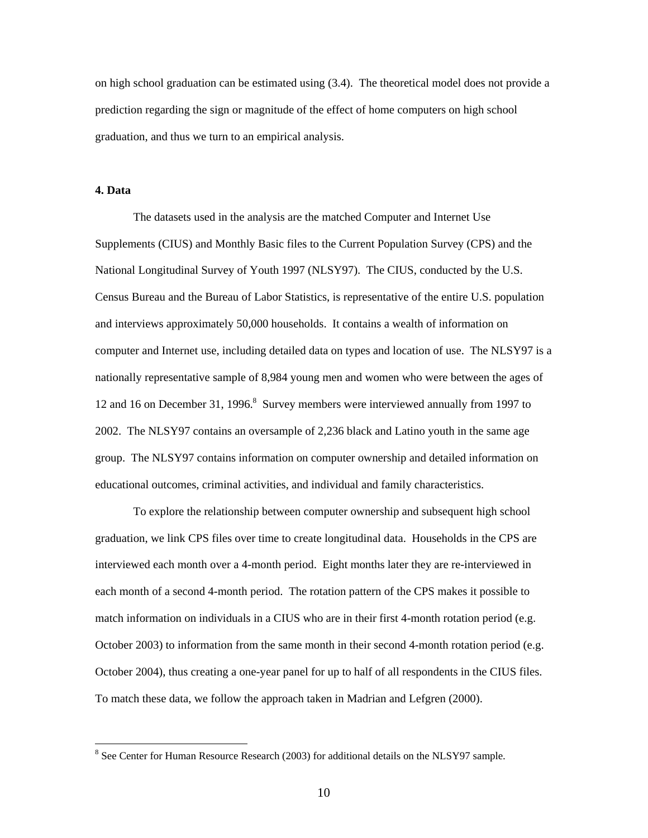on high school graduation can be estimated using (3.4). The theoretical model does not provide a prediction regarding the sign or magnitude of the effect of home computers on high school graduation, and thus we turn to an empirical analysis.

#### **4. Data**

 $\overline{a}$ 

The datasets used in the analysis are the matched Computer and Internet Use Supplements (CIUS) and Monthly Basic files to the Current Population Survey (CPS) and the National Longitudinal Survey of Youth 1997 (NLSY97). The CIUS, conducted by the U.S. Census Bureau and the Bureau of Labor Statistics, is representative of the entire U.S. population and interviews approximately 50,000 households. It contains a wealth of information on computer and Internet use, including detailed data on types and location of use. The NLSY97 is a nationally representative sample of 8,984 young men and women who were between the ages of 12 and 16 on December 31, 1996.<sup>8</sup> Survey members were interviewed annually from 1997 to 2002. The NLSY97 contains an oversample of 2,236 black and Latino youth in the same age group. The NLSY97 contains information on computer ownership and detailed information on educational outcomes, criminal activities, and individual and family characteristics.

To explore the relationship between computer ownership and subsequent high school graduation, we link CPS files over time to create longitudinal data. Households in the CPS are interviewed each month over a 4-month period. Eight months later they are re-interviewed in each month of a second 4-month period. The rotation pattern of the CPS makes it possible to match information on individuals in a CIUS who are in their first 4-month rotation period (e.g. October 2003) to information from the same month in their second 4-month rotation period (e.g. October 2004), thus creating a one-year panel for up to half of all respondents in the CIUS files. To match these data, we follow the approach taken in Madrian and Lefgren (2000).

<sup>&</sup>lt;sup>8</sup> See Center for Human Resource Research (2003) for additional details on the NLSY97 sample.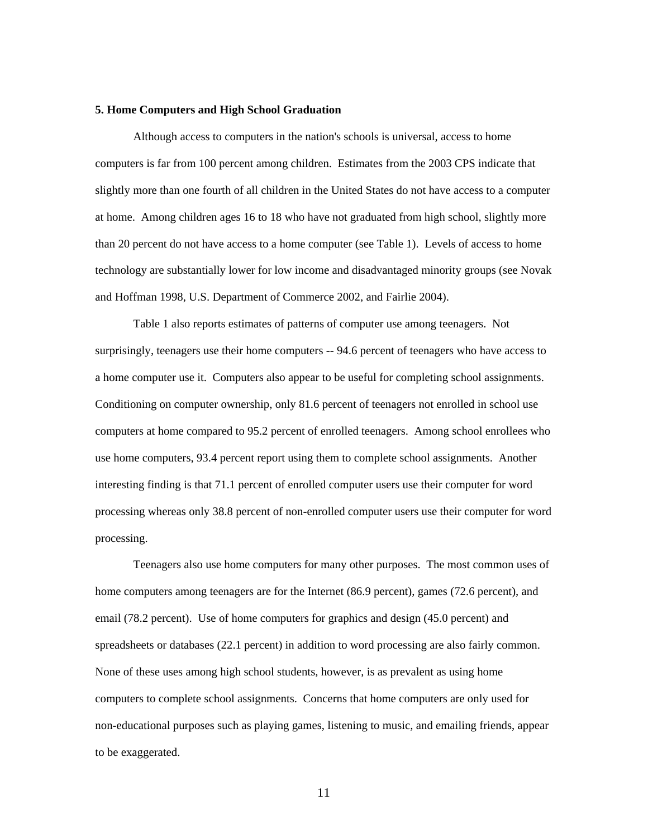#### **5. Home Computers and High School Graduation**

Although access to computers in the nation's schools is universal, access to home computers is far from 100 percent among children. Estimates from the 2003 CPS indicate that slightly more than one fourth of all children in the United States do not have access to a computer at home. Among children ages 16 to 18 who have not graduated from high school, slightly more than 20 percent do not have access to a home computer (see Table 1). Levels of access to home technology are substantially lower for low income and disadvantaged minority groups (see Novak and Hoffman 1998, U.S. Department of Commerce 2002, and Fairlie 2004).

Table 1 also reports estimates of patterns of computer use among teenagers. Not surprisingly, teenagers use their home computers -- 94.6 percent of teenagers who have access to a home computer use it. Computers also appear to be useful for completing school assignments. Conditioning on computer ownership, only 81.6 percent of teenagers not enrolled in school use computers at home compared to 95.2 percent of enrolled teenagers. Among school enrollees who use home computers, 93.4 percent report using them to complete school assignments. Another interesting finding is that 71.1 percent of enrolled computer users use their computer for word processing whereas only 38.8 percent of non-enrolled computer users use their computer for word processing.

Teenagers also use home computers for many other purposes. The most common uses of home computers among teenagers are for the Internet (86.9 percent), games (72.6 percent), and email (78.2 percent). Use of home computers for graphics and design (45.0 percent) and spreadsheets or databases (22.1 percent) in addition to word processing are also fairly common. None of these uses among high school students, however, is as prevalent as using home computers to complete school assignments. Concerns that home computers are only used for non-educational purposes such as playing games, listening to music, and emailing friends, appear to be exaggerated.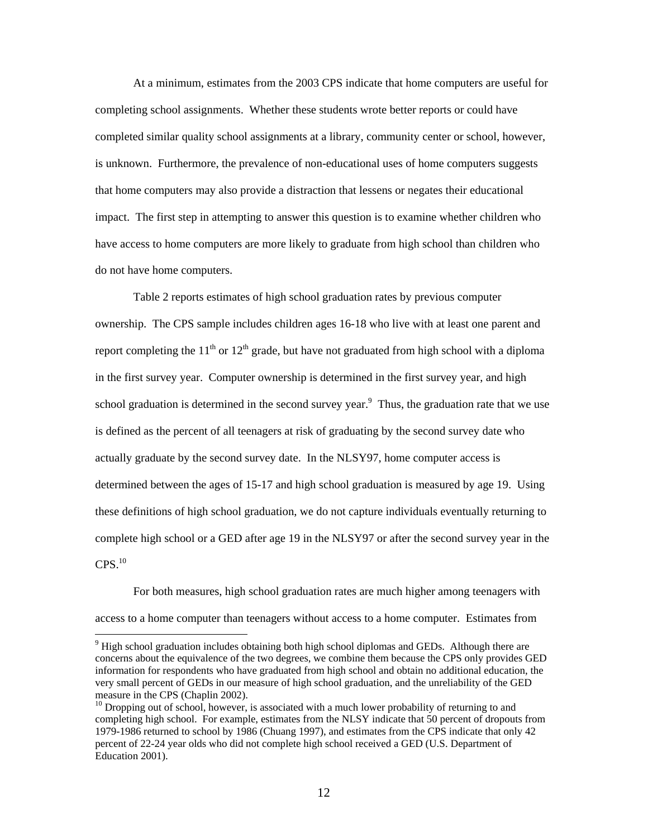At a minimum, estimates from the 2003 CPS indicate that home computers are useful for completing school assignments. Whether these students wrote better reports or could have completed similar quality school assignments at a library, community center or school, however, is unknown. Furthermore, the prevalence of non-educational uses of home computers suggests that home computers may also provide a distraction that lessens or negates their educational impact. The first step in attempting to answer this question is to examine whether children who have access to home computers are more likely to graduate from high school than children who do not have home computers.

 Table 2 reports estimates of high school graduation rates by previous computer ownership. The CPS sample includes children ages 16-18 who live with at least one parent and report completing the  $11<sup>th</sup>$  or  $12<sup>th</sup>$  grade, but have not graduated from high school with a diploma in the first survey year. Computer ownership is determined in the first survey year, and high school graduation is determined in the second survey year.<sup>9</sup> Thus, the graduation rate that we use is defined as the percent of all teenagers at risk of graduating by the second survey date who actually graduate by the second survey date. In the NLSY97, home computer access is determined between the ages of 15-17 and high school graduation is measured by age 19. Using these definitions of high school graduation, we do not capture individuals eventually returning to complete high school or a GED after age 19 in the NLSY97 or after the second survey year in the  $CPS.<sup>10</sup>$ 

 For both measures, high school graduation rates are much higher among teenagers with access to a home computer than teenagers without access to a home computer. Estimates from

 $9$  High school graduation includes obtaining both high school diplomas and GEDs. Although there are concerns about the equivalence of the two degrees, we combine them because the CPS only provides GED information for respondents who have graduated from high school and obtain no additional education, the very small percent of GEDs in our measure of high school graduation, and the unreliability of the GED measure in the CPS (Chaplin 2002).

 $10$  Dropping out of school, however, is associated with a much lower probability of returning to and completing high school. For example, estimates from the NLSY indicate that 50 percent of dropouts from 1979-1986 returned to school by 1986 (Chuang 1997), and estimates from the CPS indicate that only 42 percent of 22-24 year olds who did not complete high school received a GED (U.S. Department of Education 2001).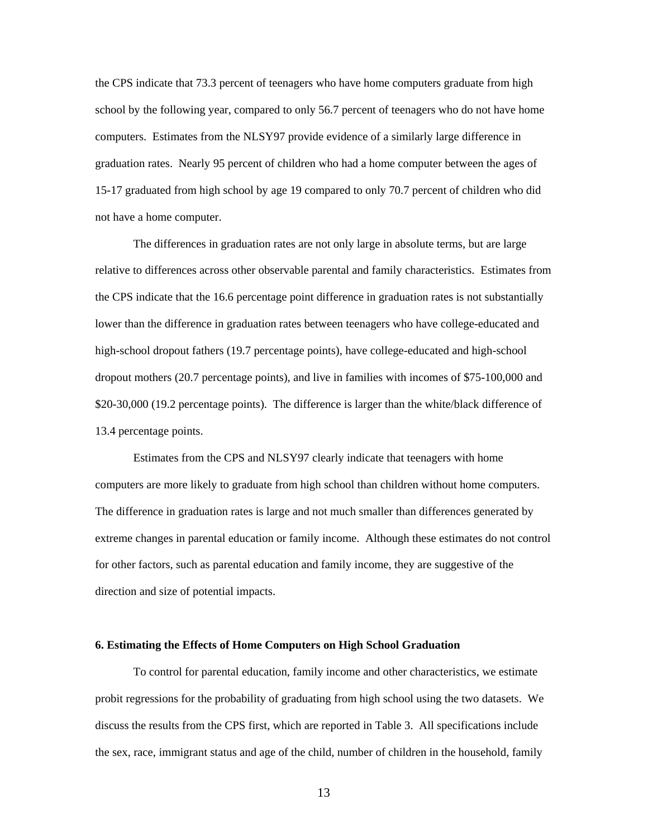the CPS indicate that 73.3 percent of teenagers who have home computers graduate from high school by the following year, compared to only 56.7 percent of teenagers who do not have home computers. Estimates from the NLSY97 provide evidence of a similarly large difference in graduation rates. Nearly 95 percent of children who had a home computer between the ages of 15-17 graduated from high school by age 19 compared to only 70.7 percent of children who did not have a home computer.

 The differences in graduation rates are not only large in absolute terms, but are large relative to differences across other observable parental and family characteristics. Estimates from the CPS indicate that the 16.6 percentage point difference in graduation rates is not substantially lower than the difference in graduation rates between teenagers who have college-educated and high-school dropout fathers (19.7 percentage points), have college-educated and high-school dropout mothers (20.7 percentage points), and live in families with incomes of \$75-100,000 and \$20-30,000 (19.2 percentage points). The difference is larger than the white/black difference of 13.4 percentage points.

 Estimates from the CPS and NLSY97 clearly indicate that teenagers with home computers are more likely to graduate from high school than children without home computers. The difference in graduation rates is large and not much smaller than differences generated by extreme changes in parental education or family income. Although these estimates do not control for other factors, such as parental education and family income, they are suggestive of the direction and size of potential impacts.

#### **6. Estimating the Effects of Home Computers on High School Graduation**

 To control for parental education, family income and other characteristics, we estimate probit regressions for the probability of graduating from high school using the two datasets. We discuss the results from the CPS first, which are reported in Table 3. All specifications include the sex, race, immigrant status and age of the child, number of children in the household, family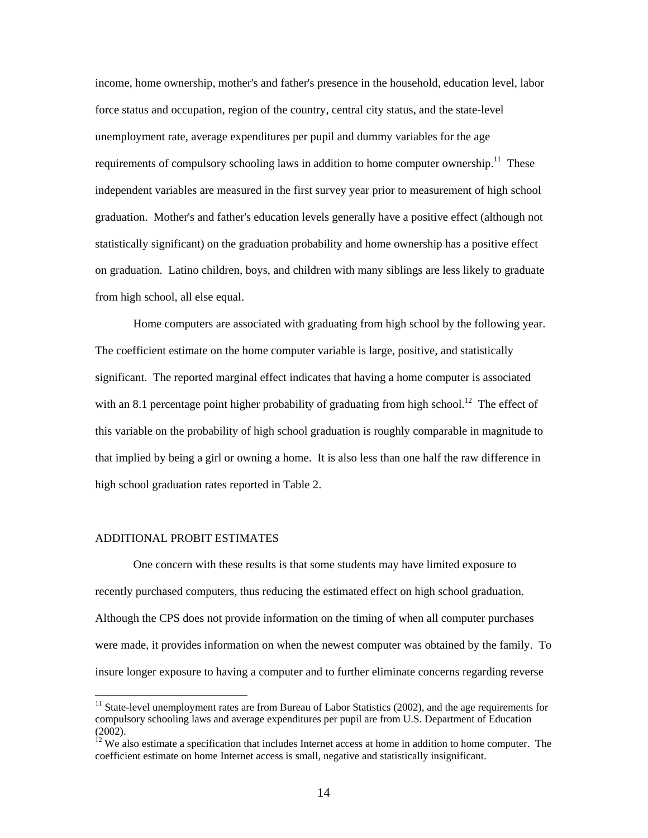income, home ownership, mother's and father's presence in the household, education level, labor force status and occupation, region of the country, central city status, and the state-level unemployment rate, average expenditures per pupil and dummy variables for the age requirements of compulsory schooling laws in addition to home computer ownership.<sup>11</sup> These independent variables are measured in the first survey year prior to measurement of high school graduation. Mother's and father's education levels generally have a positive effect (although not statistically significant) on the graduation probability and home ownership has a positive effect on graduation. Latino children, boys, and children with many siblings are less likely to graduate from high school, all else equal.

Home computers are associated with graduating from high school by the following year. The coefficient estimate on the home computer variable is large, positive, and statistically significant. The reported marginal effect indicates that having a home computer is associated with an 8.1 percentage point higher probability of graduating from high school.<sup>12</sup> The effect of this variable on the probability of high school graduation is roughly comparable in magnitude to that implied by being a girl or owning a home. It is also less than one half the raw difference in high school graduation rates reported in Table 2.

## ADDITIONAL PROBIT ESTIMATES

 $\overline{a}$ 

 One concern with these results is that some students may have limited exposure to recently purchased computers, thus reducing the estimated effect on high school graduation. Although the CPS does not provide information on the timing of when all computer purchases were made, it provides information on when the newest computer was obtained by the family. To insure longer exposure to having a computer and to further eliminate concerns regarding reverse

<sup>&</sup>lt;sup>11</sup> State-level unemployment rates are from Bureau of Labor Statistics (2002), and the age requirements for compulsory schooling laws and average expenditures per pupil are from U.S. Department of Education (2002).

 $12$  We also estimate a specification that includes Internet access at home in addition to home computer. The coefficient estimate on home Internet access is small, negative and statistically insignificant.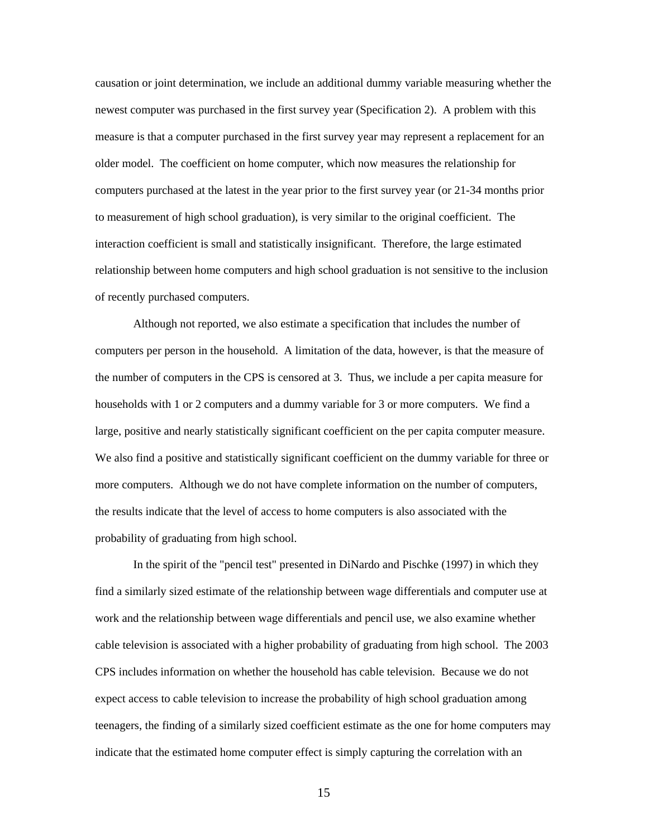causation or joint determination, we include an additional dummy variable measuring whether the newest computer was purchased in the first survey year (Specification 2). A problem with this measure is that a computer purchased in the first survey year may represent a replacement for an older model. The coefficient on home computer, which now measures the relationship for computers purchased at the latest in the year prior to the first survey year (or 21-34 months prior to measurement of high school graduation), is very similar to the original coefficient. The interaction coefficient is small and statistically insignificant. Therefore, the large estimated relationship between home computers and high school graduation is not sensitive to the inclusion of recently purchased computers.

 Although not reported, we also estimate a specification that includes the number of computers per person in the household. A limitation of the data, however, is that the measure of the number of computers in the CPS is censored at 3. Thus, we include a per capita measure for households with 1 or 2 computers and a dummy variable for 3 or more computers. We find a large, positive and nearly statistically significant coefficient on the per capita computer measure. We also find a positive and statistically significant coefficient on the dummy variable for three or more computers. Although we do not have complete information on the number of computers, the results indicate that the level of access to home computers is also associated with the probability of graduating from high school.

 In the spirit of the "pencil test" presented in DiNardo and Pischke (1997) in which they find a similarly sized estimate of the relationship between wage differentials and computer use at work and the relationship between wage differentials and pencil use, we also examine whether cable television is associated with a higher probability of graduating from high school. The 2003 CPS includes information on whether the household has cable television. Because we do not expect access to cable television to increase the probability of high school graduation among teenagers, the finding of a similarly sized coefficient estimate as the one for home computers may indicate that the estimated home computer effect is simply capturing the correlation with an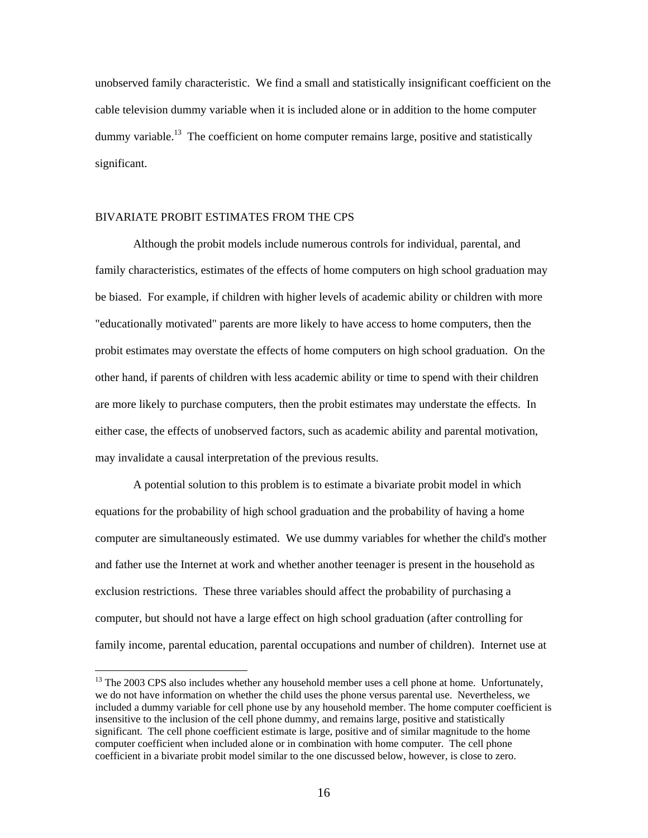unobserved family characteristic. We find a small and statistically insignificant coefficient on the cable television dummy variable when it is included alone or in addition to the home computer dummy variable.<sup>13</sup> The coefficient on home computer remains large, positive and statistically significant.

### BIVARIATE PROBIT ESTIMATES FROM THE CPS

 $\overline{a}$ 

Although the probit models include numerous controls for individual, parental, and family characteristics, estimates of the effects of home computers on high school graduation may be biased. For example, if children with higher levels of academic ability or children with more "educationally motivated" parents are more likely to have access to home computers, then the probit estimates may overstate the effects of home computers on high school graduation. On the other hand, if parents of children with less academic ability or time to spend with their children are more likely to purchase computers, then the probit estimates may understate the effects. In either case, the effects of unobserved factors, such as academic ability and parental motivation, may invalidate a causal interpretation of the previous results.

A potential solution to this problem is to estimate a bivariate probit model in which equations for the probability of high school graduation and the probability of having a home computer are simultaneously estimated. We use dummy variables for whether the child's mother and father use the Internet at work and whether another teenager is present in the household as exclusion restrictions. These three variables should affect the probability of purchasing a computer, but should not have a large effect on high school graduation (after controlling for family income, parental education, parental occupations and number of children). Internet use at

 $13$  The 2003 CPS also includes whether any household member uses a cell phone at home. Unfortunately, we do not have information on whether the child uses the phone versus parental use. Nevertheless, we included a dummy variable for cell phone use by any household member. The home computer coefficient is insensitive to the inclusion of the cell phone dummy, and remains large, positive and statistically significant. The cell phone coefficient estimate is large, positive and of similar magnitude to the home computer coefficient when included alone or in combination with home computer. The cell phone coefficient in a bivariate probit model similar to the one discussed below, however, is close to zero.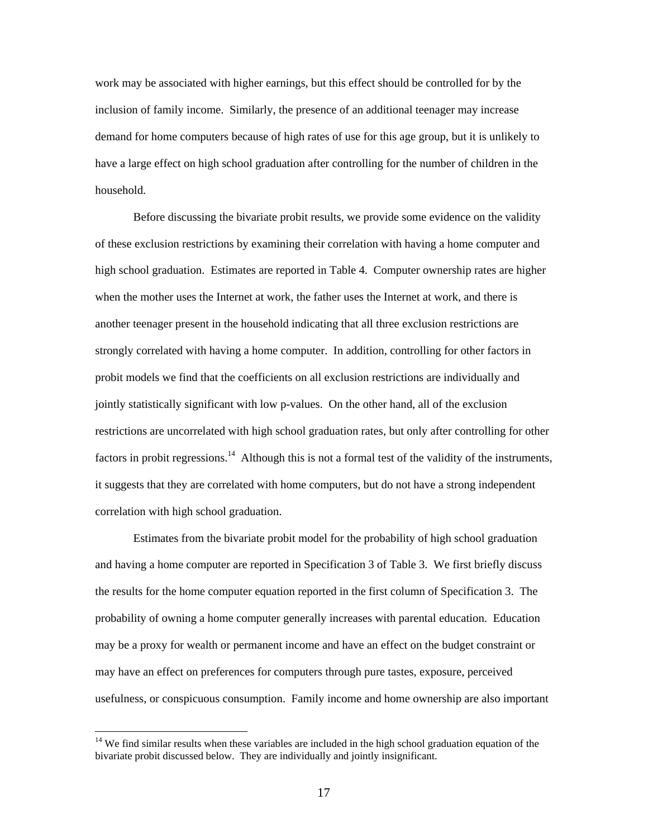work may be associated with higher earnings, but this effect should be controlled for by the inclusion of family income. Similarly, the presence of an additional teenager may increase demand for home computers because of high rates of use for this age group, but it is unlikely to have a large effect on high school graduation after controlling for the number of children in the household.

Before discussing the bivariate probit results, we provide some evidence on the validity of these exclusion restrictions by examining their correlation with having a home computer and high school graduation. Estimates are reported in Table 4. Computer ownership rates are higher when the mother uses the Internet at work, the father uses the Internet at work, and there is another teenager present in the household indicating that all three exclusion restrictions are strongly correlated with having a home computer. In addition, controlling for other factors in probit models we find that the coefficients on all exclusion restrictions are individually and jointly statistically significant with low p-values. On the other hand, all of the exclusion restrictions are uncorrelated with high school graduation rates, but only after controlling for other factors in probit regressions.<sup>14</sup> Although this is not a formal test of the validity of the instruments, it suggests that they are correlated with home computers, but do not have a strong independent correlation with high school graduation.

Estimates from the bivariate probit model for the probability of high school graduation and having a home computer are reported in Specification 3 of Table 3. We first briefly discuss the results for the home computer equation reported in the first column of Specification 3. The probability of owning a home computer generally increases with parental education. Education may be a proxy for wealth or permanent income and have an effect on the budget constraint or may have an effect on preferences for computers through pure tastes, exposure, perceived usefulness, or conspicuous consumption. Family income and home ownership are also important

 $14$  We find similar results when these variables are included in the high school graduation equation of the bivariate probit discussed below. They are individually and jointly insignificant.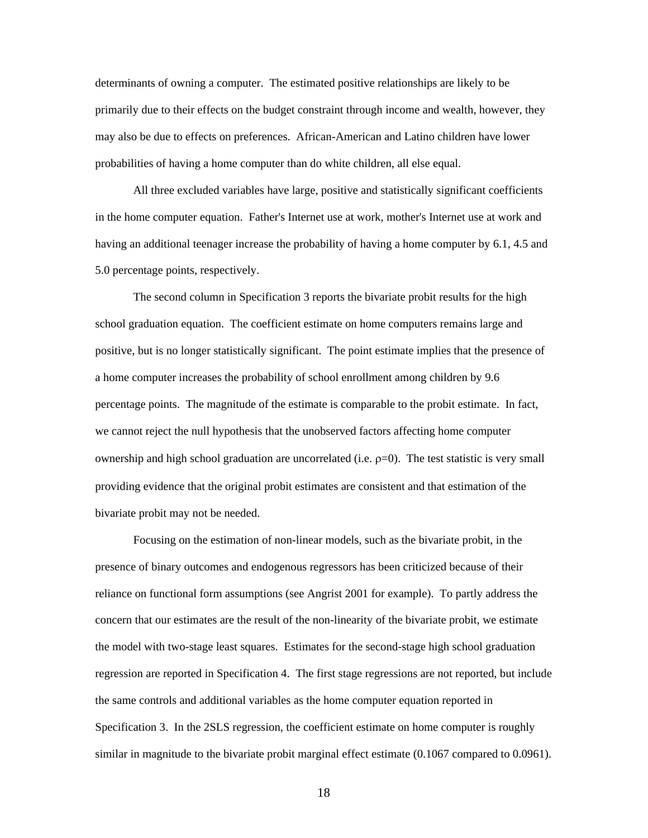determinants of owning a computer. The estimated positive relationships are likely to be primarily due to their effects on the budget constraint through income and wealth, however, they may also be due to effects on preferences. African-American and Latino children have lower probabilities of having a home computer than do white children, all else equal.

 All three excluded variables have large, positive and statistically significant coefficients in the home computer equation. Father's Internet use at work, mother's Internet use at work and having an additional teenager increase the probability of having a home computer by 6.1, 4.5 and 5.0 percentage points, respectively.

The second column in Specification 3 reports the bivariate probit results for the high school graduation equation. The coefficient estimate on home computers remains large and positive, but is no longer statistically significant. The point estimate implies that the presence of a home computer increases the probability of school enrollment among children by 9.6 percentage points. The magnitude of the estimate is comparable to the probit estimate. In fact, we cannot reject the null hypothesis that the unobserved factors affecting home computer ownership and high school graduation are uncorrelated (i.e.  $p=0$ ). The test statistic is very small providing evidence that the original probit estimates are consistent and that estimation of the bivariate probit may not be needed.

Focusing on the estimation of non-linear models, such as the bivariate probit, in the presence of binary outcomes and endogenous regressors has been criticized because of their reliance on functional form assumptions (see Angrist 2001 for example). To partly address the concern that our estimates are the result of the non-linearity of the bivariate probit, we estimate the model with two-stage least squares. Estimates for the second-stage high school graduation regression are reported in Specification 4. The first stage regressions are not reported, but include the same controls and additional variables as the home computer equation reported in Specification 3. In the 2SLS regression, the coefficient estimate on home computer is roughly similar in magnitude to the bivariate probit marginal effect estimate (0.1067 compared to 0.0961).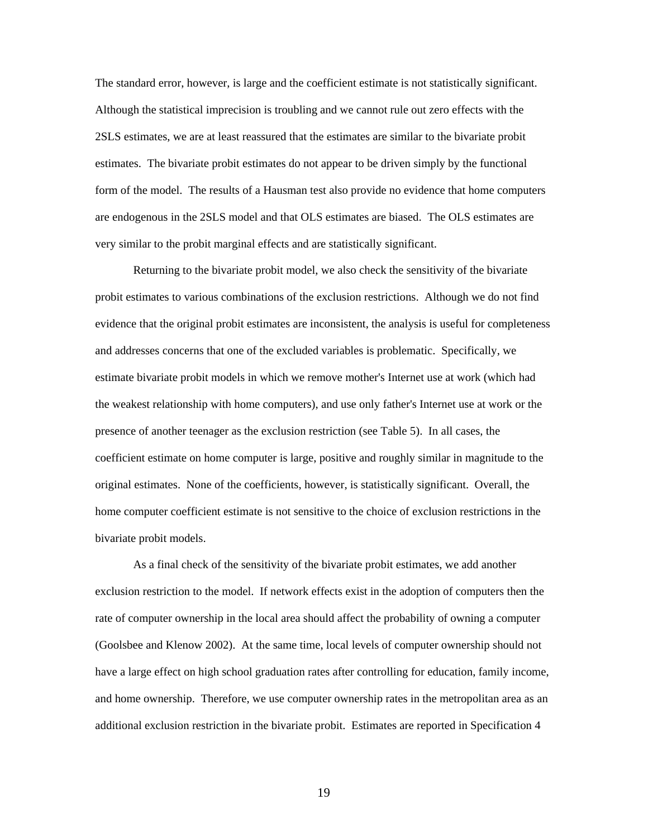The standard error, however, is large and the coefficient estimate is not statistically significant. Although the statistical imprecision is troubling and we cannot rule out zero effects with the 2SLS estimates, we are at least reassured that the estimates are similar to the bivariate probit estimates. The bivariate probit estimates do not appear to be driven simply by the functional form of the model. The results of a Hausman test also provide no evidence that home computers are endogenous in the 2SLS model and that OLS estimates are biased. The OLS estimates are very similar to the probit marginal effects and are statistically significant.

Returning to the bivariate probit model, we also check the sensitivity of the bivariate probit estimates to various combinations of the exclusion restrictions. Although we do not find evidence that the original probit estimates are inconsistent, the analysis is useful for completeness and addresses concerns that one of the excluded variables is problematic. Specifically, we estimate bivariate probit models in which we remove mother's Internet use at work (which had the weakest relationship with home computers), and use only father's Internet use at work or the presence of another teenager as the exclusion restriction (see Table 5). In all cases, the coefficient estimate on home computer is large, positive and roughly similar in magnitude to the original estimates. None of the coefficients, however, is statistically significant. Overall, the home computer coefficient estimate is not sensitive to the choice of exclusion restrictions in the bivariate probit models.

As a final check of the sensitivity of the bivariate probit estimates, we add another exclusion restriction to the model. If network effects exist in the adoption of computers then the rate of computer ownership in the local area should affect the probability of owning a computer (Goolsbee and Klenow 2002). At the same time, local levels of computer ownership should not have a large effect on high school graduation rates after controlling for education, family income, and home ownership. Therefore, we use computer ownership rates in the metropolitan area as an additional exclusion restriction in the bivariate probit. Estimates are reported in Specification 4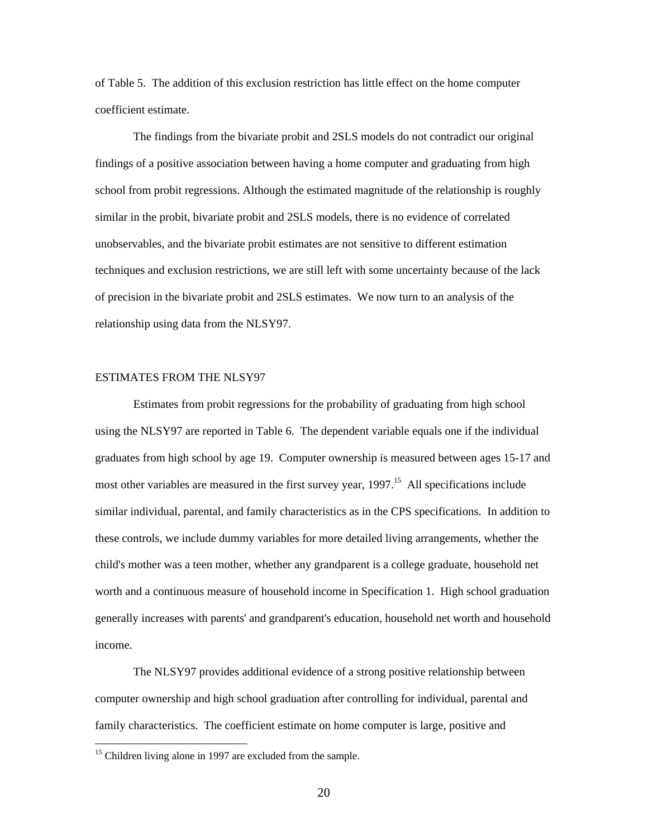of Table 5. The addition of this exclusion restriction has little effect on the home computer coefficient estimate.

The findings from the bivariate probit and 2SLS models do not contradict our original findings of a positive association between having a home computer and graduating from high school from probit regressions. Although the estimated magnitude of the relationship is roughly similar in the probit, bivariate probit and 2SLS models, there is no evidence of correlated unobservables, and the bivariate probit estimates are not sensitive to different estimation techniques and exclusion restrictions, we are still left with some uncertainty because of the lack of precision in the bivariate probit and 2SLS estimates. We now turn to an analysis of the relationship using data from the NLSY97.

### ESTIMATES FROM THE NLSY97

 Estimates from probit regressions for the probability of graduating from high school using the NLSY97 are reported in Table 6. The dependent variable equals one if the individual graduates from high school by age 19. Computer ownership is measured between ages 15-17 and most other variables are measured in the first survey year,  $1997<sup>15</sup>$  All specifications include similar individual, parental, and family characteristics as in the CPS specifications. In addition to these controls, we include dummy variables for more detailed living arrangements, whether the child's mother was a teen mother, whether any grandparent is a college graduate, household net worth and a continuous measure of household income in Specification 1. High school graduation generally increases with parents' and grandparent's education, household net worth and household income.

 The NLSY97 provides additional evidence of a strong positive relationship between computer ownership and high school graduation after controlling for individual, parental and family characteristics. The coefficient estimate on home computer is large, positive and

<sup>&</sup>lt;sup>15</sup> Children living alone in 1997 are excluded from the sample.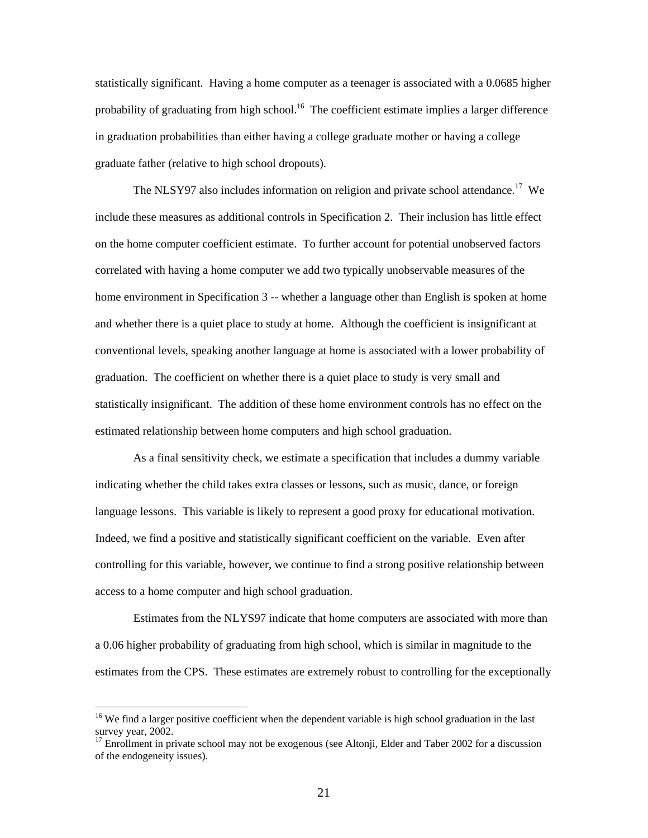statistically significant. Having a home computer as a teenager is associated with a 0.0685 higher probability of graduating from high school.<sup>16</sup> The coefficient estimate implies a larger difference in graduation probabilities than either having a college graduate mother or having a college graduate father (relative to high school dropouts).

The NLSY97 also includes information on religion and private school attendance.<sup>17</sup> We include these measures as additional controls in Specification 2. Their inclusion has little effect on the home computer coefficient estimate. To further account for potential unobserved factors correlated with having a home computer we add two typically unobservable measures of the home environment in Specification 3 -- whether a language other than English is spoken at home and whether there is a quiet place to study at home. Although the coefficient is insignificant at conventional levels, speaking another language at home is associated with a lower probability of graduation. The coefficient on whether there is a quiet place to study is very small and statistically insignificant. The addition of these home environment controls has no effect on the estimated relationship between home computers and high school graduation.

 As a final sensitivity check, we estimate a specification that includes a dummy variable indicating whether the child takes extra classes or lessons, such as music, dance, or foreign language lessons. This variable is likely to represent a good proxy for educational motivation. Indeed, we find a positive and statistically significant coefficient on the variable. Even after controlling for this variable, however, we continue to find a strong positive relationship between access to a home computer and high school graduation.

 Estimates from the NLYS97 indicate that home computers are associated with more than a 0.06 higher probability of graduating from high school, which is similar in magnitude to the estimates from the CPS. These estimates are extremely robust to controlling for the exceptionally

<sup>&</sup>lt;sup>16</sup> We find a larger positive coefficient when the dependent variable is high school graduation in the last survey year, 2002.

<sup>&</sup>lt;sup>17</sup> Enrollment in private school may not be exogenous (see Altonji, Elder and Taber 2002 for a discussion of the endogeneity issues).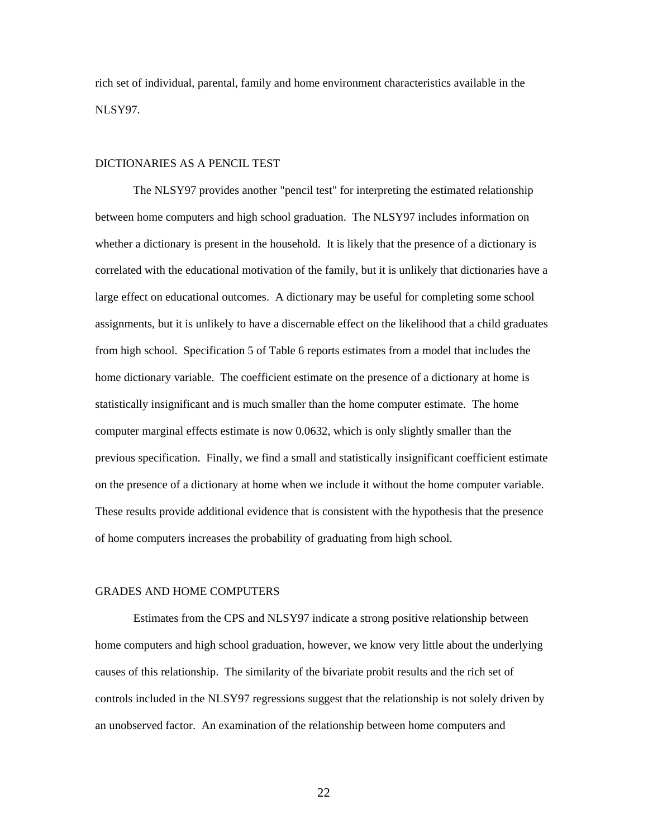rich set of individual, parental, family and home environment characteristics available in the NLSY97.

### DICTIONARIES AS A PENCIL TEST

 The NLSY97 provides another "pencil test" for interpreting the estimated relationship between home computers and high school graduation. The NLSY97 includes information on whether a dictionary is present in the household. It is likely that the presence of a dictionary is correlated with the educational motivation of the family, but it is unlikely that dictionaries have a large effect on educational outcomes. A dictionary may be useful for completing some school assignments, but it is unlikely to have a discernable effect on the likelihood that a child graduates from high school. Specification 5 of Table 6 reports estimates from a model that includes the home dictionary variable. The coefficient estimate on the presence of a dictionary at home is statistically insignificant and is much smaller than the home computer estimate. The home computer marginal effects estimate is now 0.0632, which is only slightly smaller than the previous specification. Finally, we find a small and statistically insignificant coefficient estimate on the presence of a dictionary at home when we include it without the home computer variable. These results provide additional evidence that is consistent with the hypothesis that the presence of home computers increases the probability of graduating from high school.

#### GRADES AND HOME COMPUTERS

 Estimates from the CPS and NLSY97 indicate a strong positive relationship between home computers and high school graduation, however, we know very little about the underlying causes of this relationship. The similarity of the bivariate probit results and the rich set of controls included in the NLSY97 regressions suggest that the relationship is not solely driven by an unobserved factor. An examination of the relationship between home computers and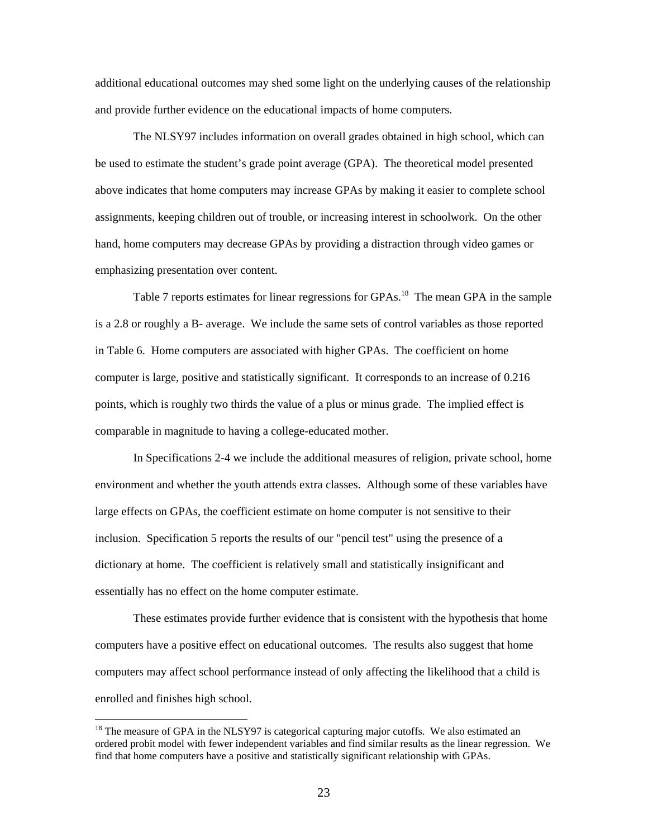additional educational outcomes may shed some light on the underlying causes of the relationship and provide further evidence on the educational impacts of home computers.

 The NLSY97 includes information on overall grades obtained in high school, which can be used to estimate the student's grade point average (GPA). The theoretical model presented above indicates that home computers may increase GPAs by making it easier to complete school assignments, keeping children out of trouble, or increasing interest in schoolwork. On the other hand, home computers may decrease GPAs by providing a distraction through video games or emphasizing presentation over content.

Table 7 reports estimates for linear regressions for GPAs.<sup>18</sup> The mean GPA in the sample is a 2.8 or roughly a B- average. We include the same sets of control variables as those reported in Table 6. Home computers are associated with higher GPAs. The coefficient on home computer is large, positive and statistically significant. It corresponds to an increase of 0.216 points, which is roughly two thirds the value of a plus or minus grade. The implied effect is comparable in magnitude to having a college-educated mother.

 In Specifications 2-4 we include the additional measures of religion, private school, home environment and whether the youth attends extra classes. Although some of these variables have large effects on GPAs, the coefficient estimate on home computer is not sensitive to their inclusion. Specification 5 reports the results of our "pencil test" using the presence of a dictionary at home. The coefficient is relatively small and statistically insignificant and essentially has no effect on the home computer estimate.

 These estimates provide further evidence that is consistent with the hypothesis that home computers have a positive effect on educational outcomes. The results also suggest that home computers may affect school performance instead of only affecting the likelihood that a child is enrolled and finishes high school.

<sup>&</sup>lt;sup>18</sup> The measure of GPA in the NLSY97 is categorical capturing major cutoffs. We also estimated an ordered probit model with fewer independent variables and find similar results as the linear regression. We find that home computers have a positive and statistically significant relationship with GPAs.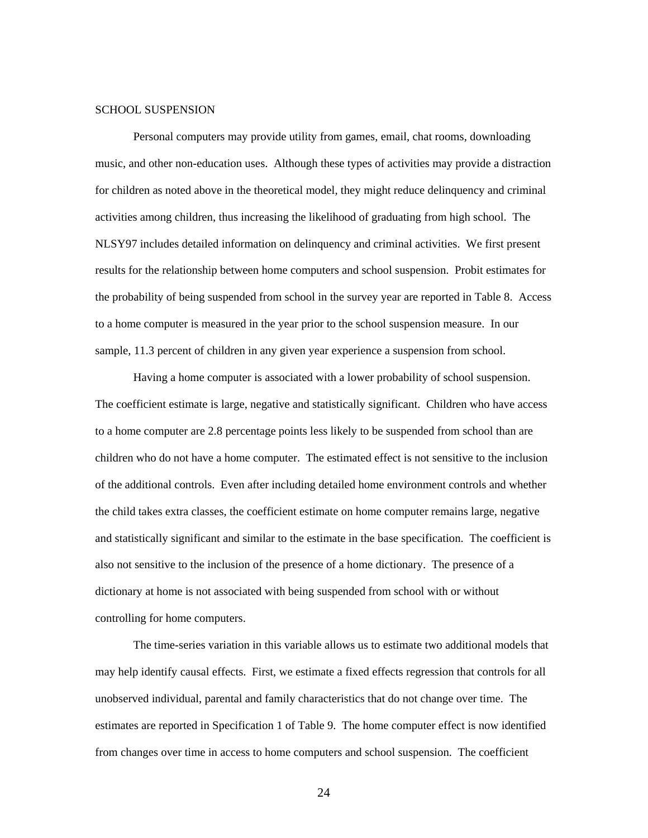#### SCHOOL SUSPENSION

 Personal computers may provide utility from games, email, chat rooms, downloading music, and other non-education uses. Although these types of activities may provide a distraction for children as noted above in the theoretical model, they might reduce delinquency and criminal activities among children, thus increasing the likelihood of graduating from high school. The NLSY97 includes detailed information on delinquency and criminal activities. We first present results for the relationship between home computers and school suspension. Probit estimates for the probability of being suspended from school in the survey year are reported in Table 8. Access to a home computer is measured in the year prior to the school suspension measure. In our sample, 11.3 percent of children in any given year experience a suspension from school.

 Having a home computer is associated with a lower probability of school suspension. The coefficient estimate is large, negative and statistically significant. Children who have access to a home computer are 2.8 percentage points less likely to be suspended from school than are children who do not have a home computer. The estimated effect is not sensitive to the inclusion of the additional controls. Even after including detailed home environment controls and whether the child takes extra classes, the coefficient estimate on home computer remains large, negative and statistically significant and similar to the estimate in the base specification. The coefficient is also not sensitive to the inclusion of the presence of a home dictionary. The presence of a dictionary at home is not associated with being suspended from school with or without controlling for home computers.

 The time-series variation in this variable allows us to estimate two additional models that may help identify causal effects. First, we estimate a fixed effects regression that controls for all unobserved individual, parental and family characteristics that do not change over time. The estimates are reported in Specification 1 of Table 9. The home computer effect is now identified from changes over time in access to home computers and school suspension. The coefficient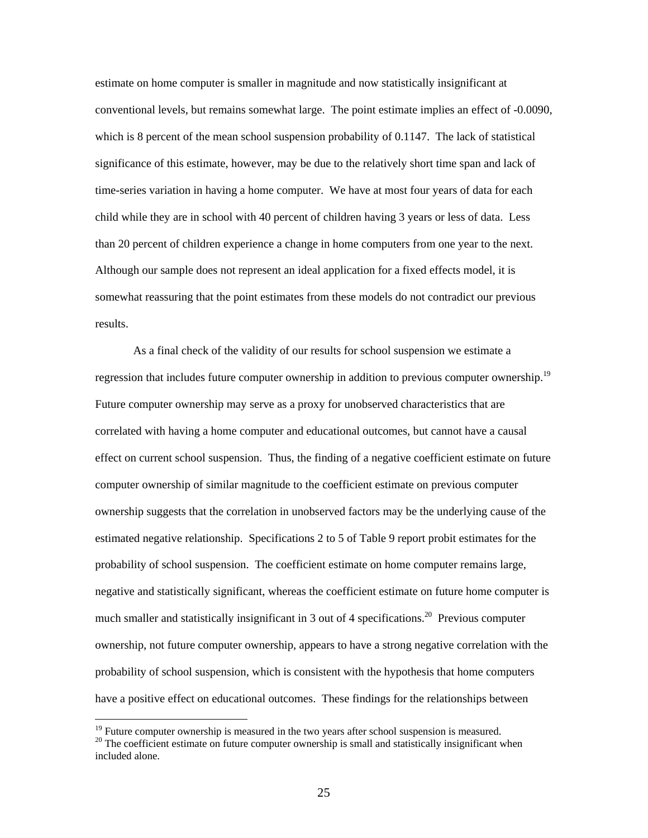estimate on home computer is smaller in magnitude and now statistically insignificant at conventional levels, but remains somewhat large. The point estimate implies an effect of -0.0090, which is 8 percent of the mean school suspension probability of 0.1147. The lack of statistical significance of this estimate, however, may be due to the relatively short time span and lack of time-series variation in having a home computer. We have at most four years of data for each child while they are in school with 40 percent of children having 3 years or less of data. Less than 20 percent of children experience a change in home computers from one year to the next. Although our sample does not represent an ideal application for a fixed effects model, it is somewhat reassuring that the point estimates from these models do not contradict our previous results.

 As a final check of the validity of our results for school suspension we estimate a regression that includes future computer ownership in addition to previous computer ownership.<sup>19</sup> Future computer ownership may serve as a proxy for unobserved characteristics that are correlated with having a home computer and educational outcomes, but cannot have a causal effect on current school suspension. Thus, the finding of a negative coefficient estimate on future computer ownership of similar magnitude to the coefficient estimate on previous computer ownership suggests that the correlation in unobserved factors may be the underlying cause of the estimated negative relationship. Specifications 2 to 5 of Table 9 report probit estimates for the probability of school suspension. The coefficient estimate on home computer remains large, negative and statistically significant, whereas the coefficient estimate on future home computer is much smaller and statistically insignificant in 3 out of 4 specifications.<sup>20</sup> Previous computer ownership, not future computer ownership, appears to have a strong negative correlation with the probability of school suspension, which is consistent with the hypothesis that home computers have a positive effect on educational outcomes. These findings for the relationships between

<sup>&</sup>lt;sup>19</sup> Future computer ownership is measured in the two years after school suspension is measured.<br><sup>20</sup> The coefficient estimate on future computer ownership is small and statistically insignificant when included alone.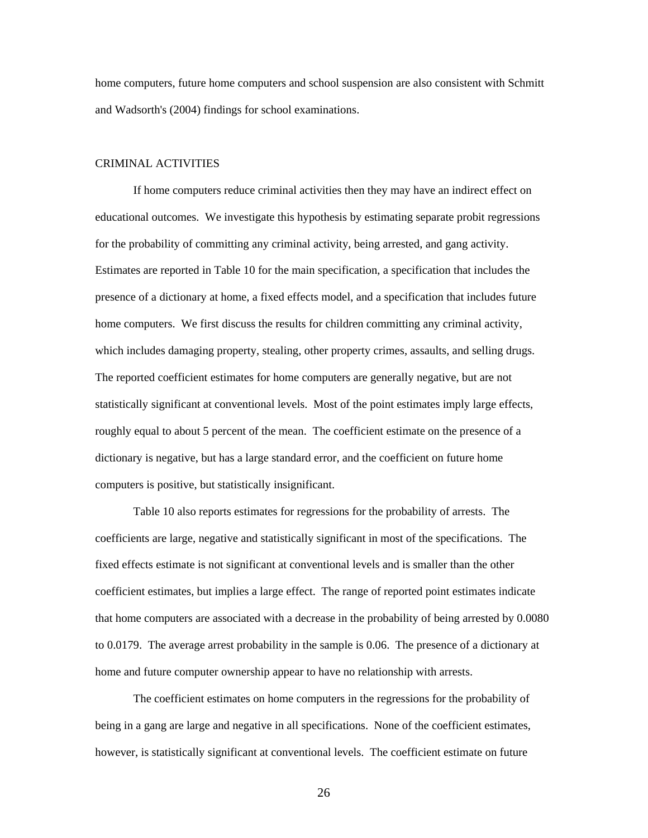home computers, future home computers and school suspension are also consistent with Schmitt and Wadsorth's (2004) findings for school examinations.

### CRIMINAL ACTIVITIES

 If home computers reduce criminal activities then they may have an indirect effect on educational outcomes. We investigate this hypothesis by estimating separate probit regressions for the probability of committing any criminal activity, being arrested, and gang activity. Estimates are reported in Table 10 for the main specification, a specification that includes the presence of a dictionary at home, a fixed effects model, and a specification that includes future home computers. We first discuss the results for children committing any criminal activity, which includes damaging property, stealing, other property crimes, assaults, and selling drugs. The reported coefficient estimates for home computers are generally negative, but are not statistically significant at conventional levels. Most of the point estimates imply large effects, roughly equal to about 5 percent of the mean. The coefficient estimate on the presence of a dictionary is negative, but has a large standard error, and the coefficient on future home computers is positive, but statistically insignificant.

 Table 10 also reports estimates for regressions for the probability of arrests. The coefficients are large, negative and statistically significant in most of the specifications. The fixed effects estimate is not significant at conventional levels and is smaller than the other coefficient estimates, but implies a large effect. The range of reported point estimates indicate that home computers are associated with a decrease in the probability of being arrested by 0.0080 to 0.0179. The average arrest probability in the sample is 0.06. The presence of a dictionary at home and future computer ownership appear to have no relationship with arrests.

 The coefficient estimates on home computers in the regressions for the probability of being in a gang are large and negative in all specifications. None of the coefficient estimates, however, is statistically significant at conventional levels. The coefficient estimate on future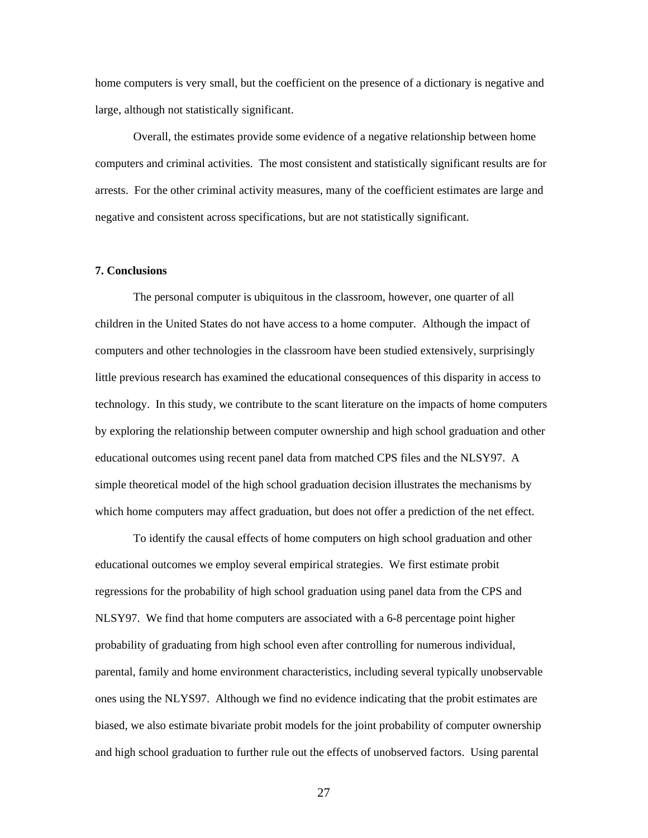home computers is very small, but the coefficient on the presence of a dictionary is negative and large, although not statistically significant.

 Overall, the estimates provide some evidence of a negative relationship between home computers and criminal activities. The most consistent and statistically significant results are for arrests. For the other criminal activity measures, many of the coefficient estimates are large and negative and consistent across specifications, but are not statistically significant.

### **7. Conclusions**

 The personal computer is ubiquitous in the classroom, however, one quarter of all children in the United States do not have access to a home computer. Although the impact of computers and other technologies in the classroom have been studied extensively, surprisingly little previous research has examined the educational consequences of this disparity in access to technology. In this study, we contribute to the scant literature on the impacts of home computers by exploring the relationship between computer ownership and high school graduation and other educational outcomes using recent panel data from matched CPS files and the NLSY97. A simple theoretical model of the high school graduation decision illustrates the mechanisms by which home computers may affect graduation, but does not offer a prediction of the net effect.

 To identify the causal effects of home computers on high school graduation and other educational outcomes we employ several empirical strategies. We first estimate probit regressions for the probability of high school graduation using panel data from the CPS and NLSY97. We find that home computers are associated with a 6-8 percentage point higher probability of graduating from high school even after controlling for numerous individual, parental, family and home environment characteristics, including several typically unobservable ones using the NLYS97. Although we find no evidence indicating that the probit estimates are biased, we also estimate bivariate probit models for the joint probability of computer ownership and high school graduation to further rule out the effects of unobserved factors. Using parental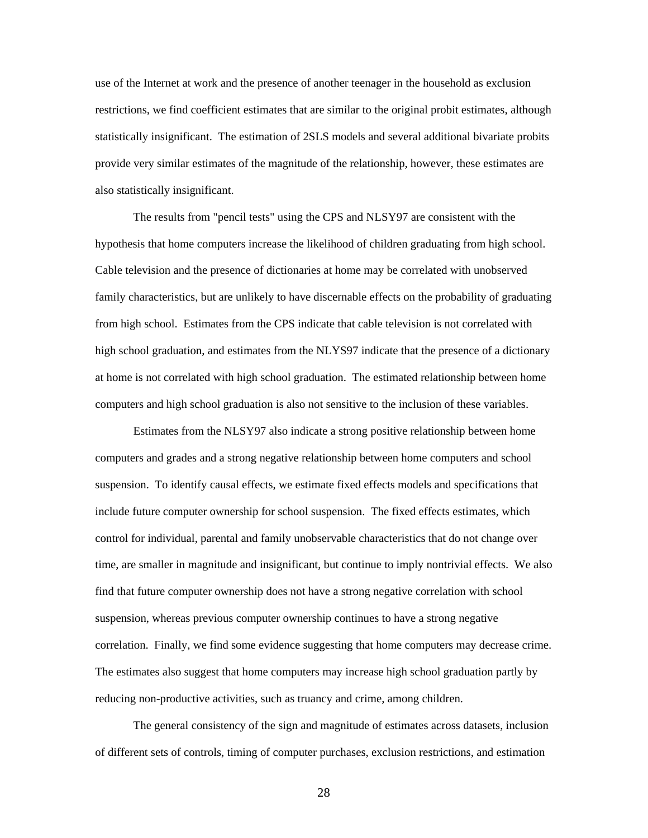use of the Internet at work and the presence of another teenager in the household as exclusion restrictions, we find coefficient estimates that are similar to the original probit estimates, although statistically insignificant. The estimation of 2SLS models and several additional bivariate probits provide very similar estimates of the magnitude of the relationship, however, these estimates are also statistically insignificant.

 The results from "pencil tests" using the CPS and NLSY97 are consistent with the hypothesis that home computers increase the likelihood of children graduating from high school. Cable television and the presence of dictionaries at home may be correlated with unobserved family characteristics, but are unlikely to have discernable effects on the probability of graduating from high school. Estimates from the CPS indicate that cable television is not correlated with high school graduation, and estimates from the NLYS97 indicate that the presence of a dictionary at home is not correlated with high school graduation. The estimated relationship between home computers and high school graduation is also not sensitive to the inclusion of these variables.

 Estimates from the NLSY97 also indicate a strong positive relationship between home computers and grades and a strong negative relationship between home computers and school suspension. To identify causal effects, we estimate fixed effects models and specifications that include future computer ownership for school suspension. The fixed effects estimates, which control for individual, parental and family unobservable characteristics that do not change over time, are smaller in magnitude and insignificant, but continue to imply nontrivial effects. We also find that future computer ownership does not have a strong negative correlation with school suspension, whereas previous computer ownership continues to have a strong negative correlation. Finally, we find some evidence suggesting that home computers may decrease crime. The estimates also suggest that home computers may increase high school graduation partly by reducing non-productive activities, such as truancy and crime, among children.

 The general consistency of the sign and magnitude of estimates across datasets, inclusion of different sets of controls, timing of computer purchases, exclusion restrictions, and estimation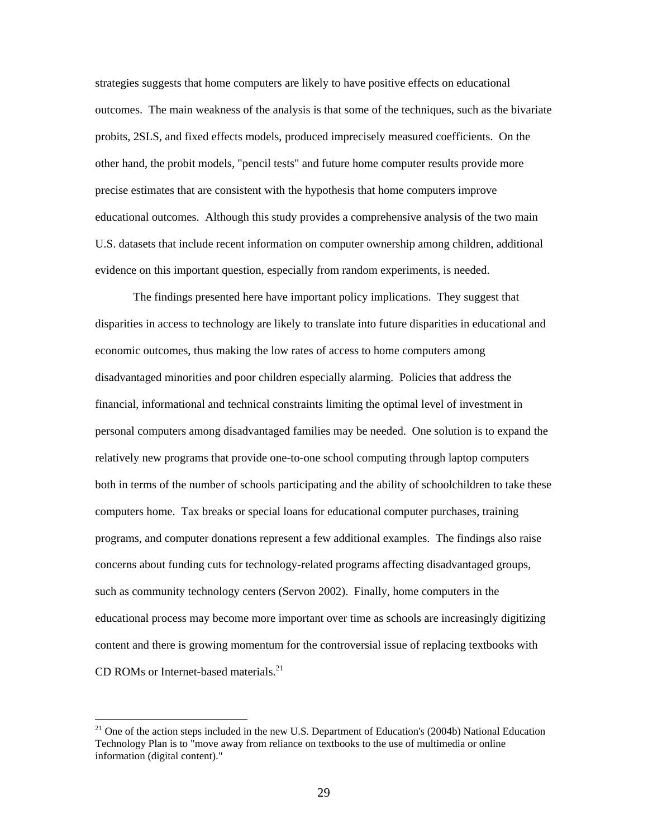strategies suggests that home computers are likely to have positive effects on educational outcomes. The main weakness of the analysis is that some of the techniques, such as the bivariate probits, 2SLS, and fixed effects models, produced imprecisely measured coefficients. On the other hand, the probit models, "pencil tests" and future home computer results provide more precise estimates that are consistent with the hypothesis that home computers improve educational outcomes. Although this study provides a comprehensive analysis of the two main U.S. datasets that include recent information on computer ownership among children, additional evidence on this important question, especially from random experiments, is needed.

 The findings presented here have important policy implications. They suggest that disparities in access to technology are likely to translate into future disparities in educational and economic outcomes, thus making the low rates of access to home computers among disadvantaged minorities and poor children especially alarming. Policies that address the financial, informational and technical constraints limiting the optimal level of investment in personal computers among disadvantaged families may be needed. One solution is to expand the relatively new programs that provide one-to-one school computing through laptop computers both in terms of the number of schools participating and the ability of schoolchildren to take these computers home. Tax breaks or special loans for educational computer purchases, training programs, and computer donations represent a few additional examples. The findings also raise concerns about funding cuts for technology-related programs affecting disadvantaged groups, such as community technology centers (Servon 2002). Finally, home computers in the educational process may become more important over time as schools are increasingly digitizing content and there is growing momentum for the controversial issue of replacing textbooks with CD ROMs or Internet-based materials.<sup>21</sup>

 $21$  One of the action steps included in the new U.S. Department of Education's (2004b) National Education Technology Plan is to "move away from reliance on textbooks to the use of multimedia or online information (digital content)."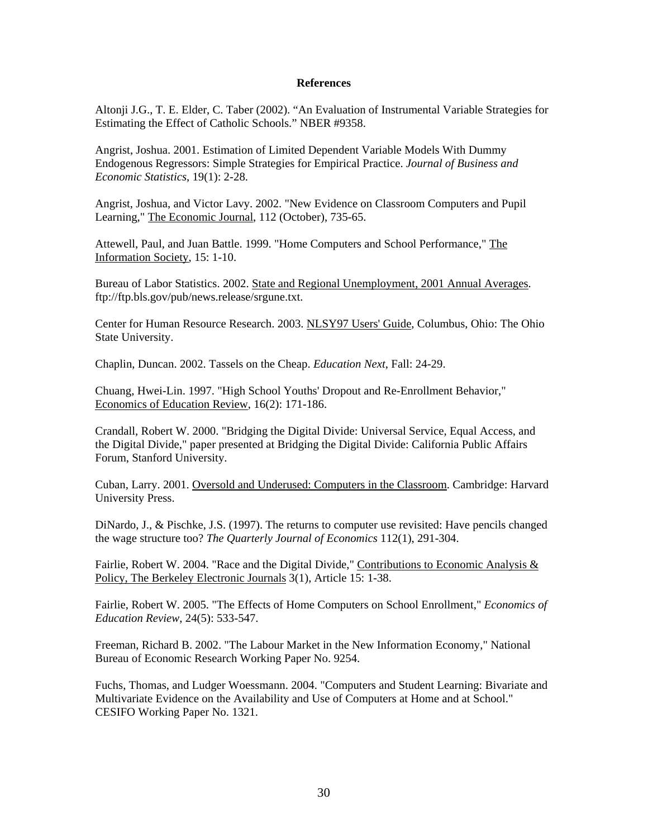#### **References**

Altonji J.G., T. E. Elder, C. Taber (2002). "An Evaluation of Instrumental Variable Strategies for Estimating the Effect of Catholic Schools." NBER #9358.

Angrist, Joshua. 2001. Estimation of Limited Dependent Variable Models With Dummy Endogenous Regressors: Simple Strategies for Empirical Practice. *Journal of Business and Economic Statistics*, 19(1): 2-28.

Angrist, Joshua, and Victor Lavy. 2002. "New Evidence on Classroom Computers and Pupil Learning," The Economic Journal, 112 (October), 735-65.

Attewell, Paul, and Juan Battle. 1999. "Home Computers and School Performance," The Information Society, 15: 1-10.

Bureau of Labor Statistics. 2002. State and Regional Unemployment, 2001 Annual Averages. ftp://ftp.bls.gov/pub/news.release/srgune.txt.

Center for Human Resource Research. 2003. NLSY97 Users' Guide, Columbus, Ohio: The Ohio State University.

Chaplin, Duncan. 2002. Tassels on the Cheap. *Education Next*, Fall: 24-29.

Chuang, Hwei-Lin. 1997. "High School Youths' Dropout and Re-Enrollment Behavior," Economics of Education Review, 16(2): 171-186.

Crandall, Robert W. 2000. "Bridging the Digital Divide: Universal Service, Equal Access, and the Digital Divide," paper presented at Bridging the Digital Divide: California Public Affairs Forum, Stanford University.

Cuban, Larry. 2001. Oversold and Underused: Computers in the Classroom. Cambridge: Harvard University Press.

DiNardo, J., & Pischke, J.S. (1997). The returns to computer use revisited: Have pencils changed the wage structure too? *The Quarterly Journal of Economics* 112(1), 291-304.

Fairlie, Robert W. 2004. "Race and the Digital Divide," Contributions to Economic Analysis & Policy, The Berkeley Electronic Journals 3(1), Article 15: 1-38.

Fairlie, Robert W. 2005. "The Effects of Home Computers on School Enrollment," *Economics of Education Review*, 24(5): 533-547.

Freeman, Richard B. 2002. "The Labour Market in the New Information Economy," National Bureau of Economic Research Working Paper No. 9254.

Fuchs, Thomas, and Ludger Woessmann. 2004. "Computers and Student Learning: Bivariate and Multivariate Evidence on the Availability and Use of Computers at Home and at School." CESIFO Working Paper No. 1321.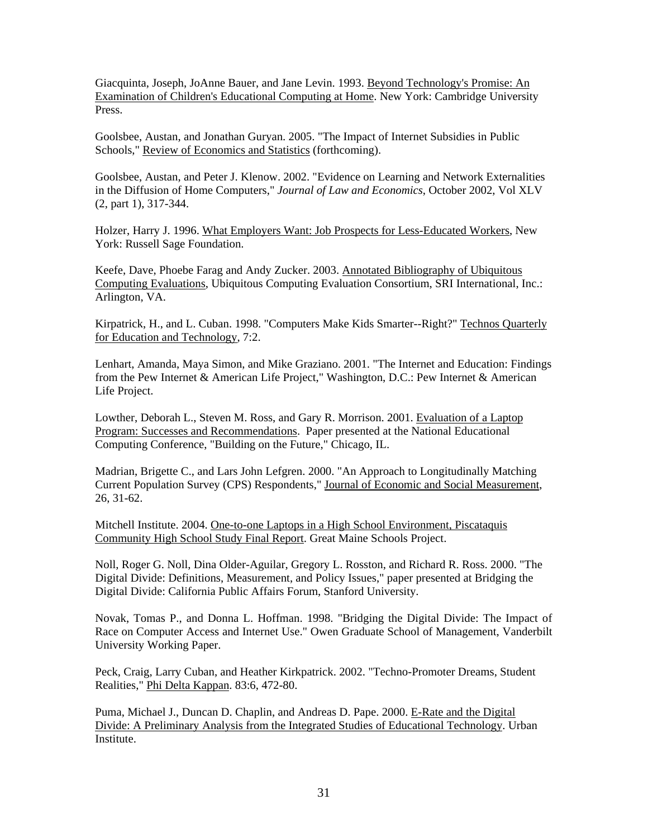Giacquinta, Joseph, JoAnne Bauer, and Jane Levin. 1993. Beyond Technology's Promise: An Examination of Children's Educational Computing at Home. New York: Cambridge University Press.

Goolsbee, Austan, and Jonathan Guryan. 2005. "The Impact of Internet Subsidies in Public Schools," Review of Economics and Statistics (forthcoming).

Goolsbee, Austan, and Peter J. Klenow. 2002. "Evidence on Learning and Network Externalities in the Diffusion of Home Computers," *Journal of Law and Economics*, October 2002, Vol XLV (2, part 1), 317-344.

Holzer, Harry J. 1996. What Employers Want: Job Prospects for Less-Educated Workers, New York: Russell Sage Foundation.

Keefe, Dave, Phoebe Farag and Andy Zucker. 2003. Annotated Bibliography of Ubiquitous Computing Evaluations, Ubiquitous Computing Evaluation Consortium, SRI International, Inc.: Arlington, VA.

Kirpatrick, H., and L. Cuban. 1998. "Computers Make Kids Smarter--Right?" Technos Quarterly for Education and Technology, 7:2.

Lenhart, Amanda, Maya Simon, and Mike Graziano. 2001. "The Internet and Education: Findings from the Pew Internet & American Life Project," Washington, D.C.: Pew Internet & American Life Project.

Lowther, Deborah L., Steven M. Ross, and Gary R. Morrison. 2001. Evaluation of a Laptop Program: Successes and Recommendations. Paper presented at the National Educational Computing Conference, "Building on the Future," Chicago, IL.

Madrian, Brigette C., and Lars John Lefgren. 2000. "An Approach to Longitudinally Matching Current Population Survey (CPS) Respondents," Journal of Economic and Social Measurement, 26, 31-62.

Mitchell Institute. 2004. One-to-one Laptops in a High School Environment, Piscataquis Community High School Study Final Report. Great Maine Schools Project.

Noll, Roger G. Noll, Dina Older-Aguilar, Gregory L. Rosston, and Richard R. Ross. 2000. "The Digital Divide: Definitions, Measurement, and Policy Issues," paper presented at Bridging the Digital Divide: California Public Affairs Forum, Stanford University.

Novak, Tomas P., and Donna L. Hoffman. 1998. "Bridging the Digital Divide: The Impact of Race on Computer Access and Internet Use." Owen Graduate School of Management, Vanderbilt University Working Paper.

Peck, Craig, Larry Cuban, and Heather Kirkpatrick. 2002. "Techno-Promoter Dreams, Student Realities," Phi Delta Kappan. 83:6, 472-80.

Puma, Michael J., Duncan D. Chaplin, and Andreas D. Pape. 2000. E-Rate and the Digital Divide: A Preliminary Analysis from the Integrated Studies of Educational Technology. Urban Institute.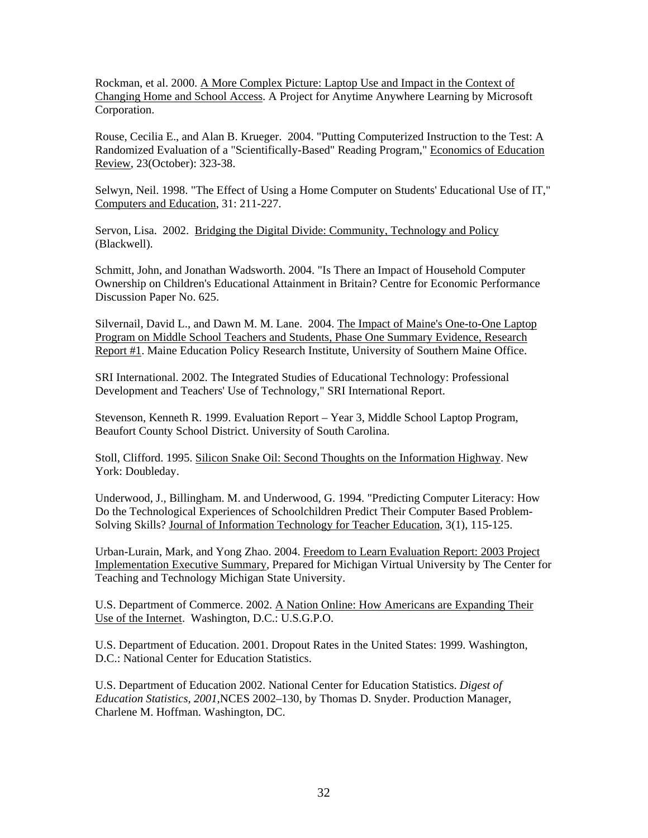Rockman, et al. 2000. A More Complex Picture: Laptop Use and Impact in the Context of Changing Home and School Access. A Project for Anytime Anywhere Learning by Microsoft Corporation.

Rouse, Cecilia E., and Alan B. Krueger. 2004. "Putting Computerized Instruction to the Test: A Randomized Evaluation of a "Scientifically-Based" Reading Program," Economics of Education Review, 23(October): 323-38.

Selwyn, Neil. 1998. "The Effect of Using a Home Computer on Students' Educational Use of IT," Computers and Education, 31: 211-227.

Servon, Lisa. 2002.Bridging the Digital Divide: Community, Technology and Policy (Blackwell).

Schmitt, John, and Jonathan Wadsworth. 2004. "Is There an Impact of Household Computer Ownership on Children's Educational Attainment in Britain? Centre for Economic Performance Discussion Paper No. 625.

Silvernail, David L., and Dawn M. M. Lane. 2004. The Impact of Maine's One-to-One Laptop Program on Middle School Teachers and Students, Phase One Summary Evidence, Research Report #1. Maine Education Policy Research Institute, University of Southern Maine Office.

SRI International. 2002. The Integrated Studies of Educational Technology: Professional Development and Teachers' Use of Technology," SRI International Report.

Stevenson, Kenneth R. 1999. Evaluation Report – Year 3, Middle School Laptop Program, Beaufort County School District. University of South Carolina.

Stoll, Clifford. 1995. Silicon Snake Oil: Second Thoughts on the Information Highway. New York: Doubleday.

Underwood, J., Billingham. M. and Underwood, G. 1994. "Predicting Computer Literacy: How Do the Technological Experiences of Schoolchildren Predict Their Computer Based Problem-Solving Skills? Journal of Information Technology for Teacher Education, 3(1), 115-125.

Urban-Lurain, Mark, and Yong Zhao. 2004. Freedom to Learn Evaluation Report: 2003 Project Implementation Executive Summary, Prepared for Michigan Virtual University by The Center for Teaching and Technology Michigan State University.

U.S. Department of Commerce. 2002. A Nation Online: How Americans are Expanding Their Use of the Internet. Washington, D.C.: U.S.G.P.O.

U.S. Department of Education. 2001. Dropout Rates in the United States: 1999. Washington, D.C.: National Center for Education Statistics.

U.S. Department of Education 2002. National Center for Education Statistics. *Digest of Education Statistics, 2001,*NCES 2002–130, by Thomas D. Snyder. Production Manager, Charlene M. Hoffman. Washington, DC.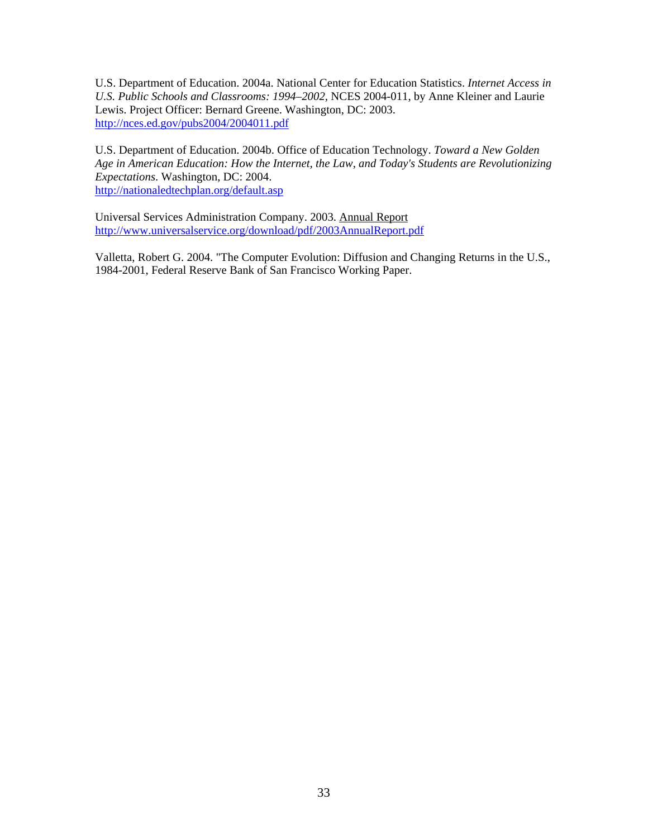U.S. Department of Education. 2004a. National Center for Education Statistics. *Internet Access in U.S. Public Schools and Classrooms: 1994–2002,* NCES 2004-011, by Anne Kleiner and Laurie Lewis. Project Officer: Bernard Greene. Washington, DC: 2003. http://nces.ed.gov/pubs2004/2004011.pdf

U.S. Department of Education. 2004b. Office of Education Technology. *Toward a New Golden Age in American Education: How the Internet, the Law, and Today's Students are Revolutionizing Expectations*. Washington, DC: 2004. http://nationaledtechplan.org/default.asp

Universal Services Administration Company. 2003. Annual Report http://www.universalservice.org/download/pdf/2003AnnualReport.pdf

Valletta, Robert G. 2004. "The Computer Evolution: Diffusion and Changing Returns in the U.S., 1984-2001, Federal Reserve Bank of San Francisco Working Paper.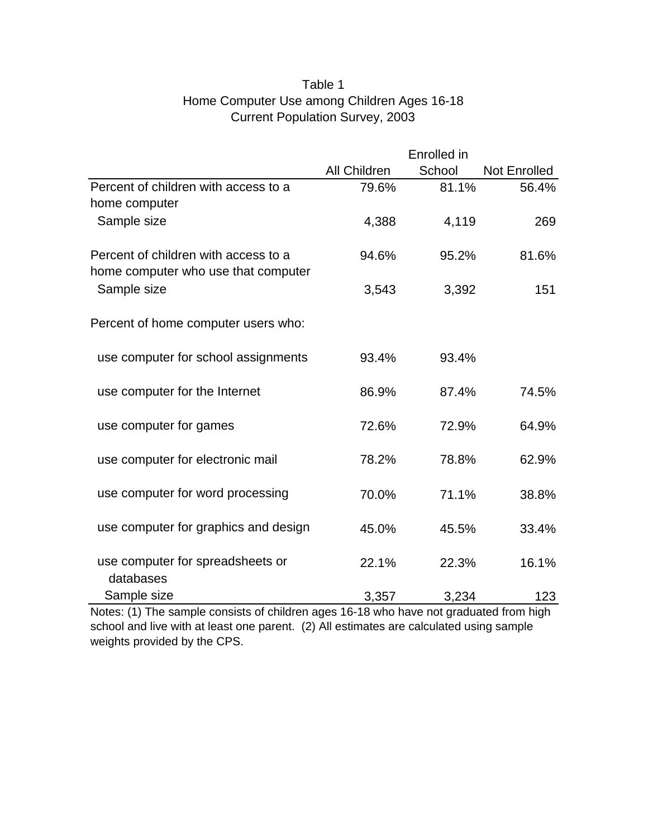## Table 1 Home Computer Use among Children Ages 16-18 Current Population Survey, 2003

|                                                                             |                     | Enrolled in |              |
|-----------------------------------------------------------------------------|---------------------|-------------|--------------|
|                                                                             | <b>All Children</b> | School      | Not Enrolled |
| Percent of children with access to a<br>home computer                       | 79.6%               | 81.1%       | 56.4%        |
| Sample size                                                                 | 4,388               | 4,119       | 269          |
| Percent of children with access to a<br>home computer who use that computer | 94.6%               | 95.2%       | 81.6%        |
| Sample size                                                                 | 3,543               | 3,392       | 151          |
| Percent of home computer users who:                                         |                     |             |              |
| use computer for school assignments                                         | 93.4%               | 93.4%       |              |
| use computer for the Internet                                               | 86.9%               | 87.4%       | 74.5%        |
| use computer for games                                                      | 72.6%               | 72.9%       | 64.9%        |
| use computer for electronic mail                                            | 78.2%               | 78.8%       | 62.9%        |
| use computer for word processing                                            | 70.0%               | 71.1%       | 38.8%        |
| use computer for graphics and design                                        | 45.0%               | 45.5%       | 33.4%        |
| use computer for spreadsheets or<br>databases                               | 22.1%               | 22.3%       | 16.1%        |
| Sample size                                                                 | 3,357               | 3,234       | 123          |

Notes: (1) The sample consists of children ages 16-18 who have not graduated from high school and live with at least one parent. (2) All estimates are calculated using sample weights provided by the CPS.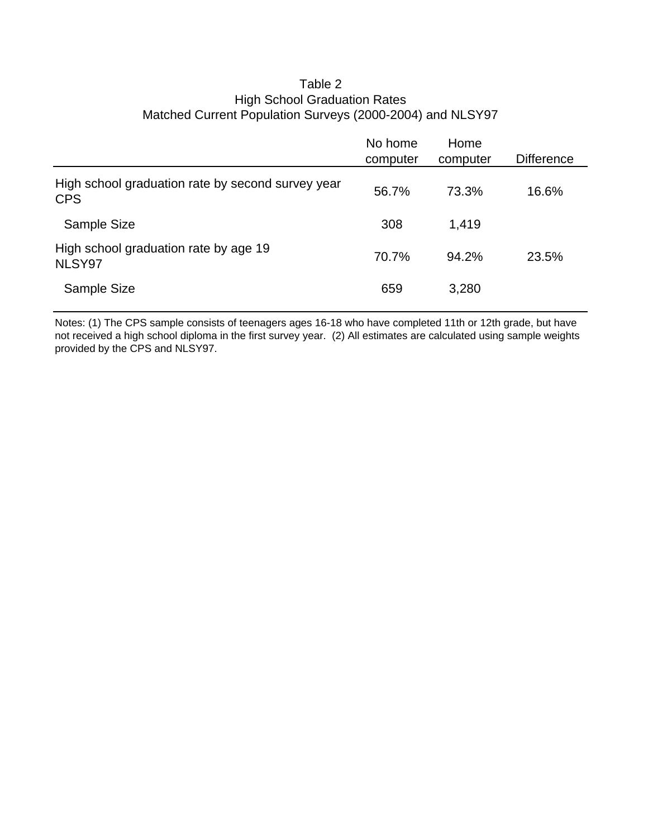## Table 2 High School Graduation Rates Matched Current Population Surveys (2000-2004) and NLSY97

|                                                                 | No home<br>computer | Home<br>computer | <b>Difference</b> |
|-----------------------------------------------------------------|---------------------|------------------|-------------------|
| High school graduation rate by second survey year<br><b>CPS</b> | 56.7%               | 73.3%            | 16.6%             |
| Sample Size                                                     | 308                 | 1,419            |                   |
| High school graduation rate by age 19<br>NLSY97                 | 70.7%               | 94.2%            | 23.5%             |
| Sample Size                                                     | 659                 | 3,280            |                   |

Notes: (1) The CPS sample consists of teenagers ages 16-18 who have completed 11th or 12th grade, but have not received a high school diploma in the first survey year. (2) All estimates are calculated using sample weights provided by the CPS and NLSY97.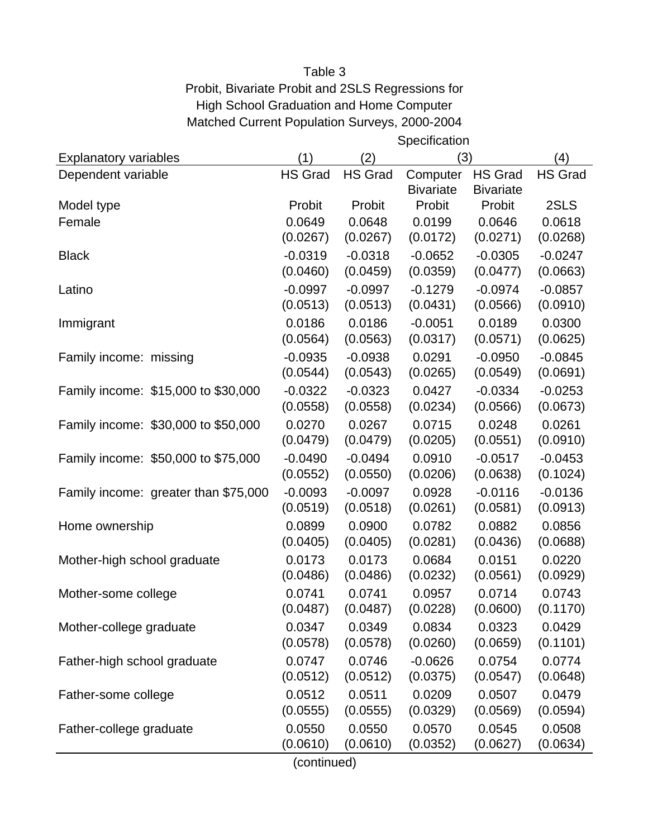# Table 3 Probit, Bivariate Probit and 2SLS Regressions for High School Graduation and Home Computer Matched Current Population Surveys, 2000-2004

|                                      | Specification  |                |                  |                  |                |
|--------------------------------------|----------------|----------------|------------------|------------------|----------------|
| <b>Explanatory variables</b>         | (1)            | (2)            | (3)              |                  | (4)            |
| Dependent variable                   | <b>HS Grad</b> | <b>HS Grad</b> | Computer         | <b>HS Grad</b>   | <b>HS Grad</b> |
|                                      |                |                | <b>Bivariate</b> | <b>Bivariate</b> |                |
| Model type                           | Probit         | Probit         | Probit           | Probit           | 2SLS           |
| Female                               | 0.0649         | 0.0648         | 0.0199           | 0.0646           | 0.0618         |
|                                      | (0.0267)       | (0.0267)       | (0.0172)         | (0.0271)         | (0.0268)       |
| <b>Black</b>                         | $-0.0319$      | $-0.0318$      | $-0.0652$        | $-0.0305$        | $-0.0247$      |
|                                      | (0.0460)       | (0.0459)       | (0.0359)         | (0.0477)         | (0.0663)       |
| Latino                               | $-0.0997$      | $-0.0997$      | $-0.1279$        | $-0.0974$        | $-0.0857$      |
|                                      | (0.0513)       | (0.0513)       | (0.0431)         | (0.0566)         | (0.0910)       |
| Immigrant                            | 0.0186         | 0.0186         | $-0.0051$        | 0.0189           | 0.0300         |
|                                      | (0.0564)       | (0.0563)       | (0.0317)         | (0.0571)         | (0.0625)       |
| Family income: missing               | $-0.0935$      | $-0.0938$      | 0.0291           | $-0.0950$        | $-0.0845$      |
|                                      | (0.0544)       | (0.0543)       | (0.0265)         | (0.0549)         | (0.0691)       |
| Family income: \$15,000 to \$30,000  | $-0.0322$      | $-0.0323$      | 0.0427           | $-0.0334$        | $-0.0253$      |
|                                      | (0.0558)       | (0.0558)       | (0.0234)         | (0.0566)         | (0.0673)       |
| Family income: \$30,000 to \$50,000  | 0.0270         | 0.0267         | 0.0715           | 0.0248           | 0.0261         |
|                                      | (0.0479)       | (0.0479)       | (0.0205)         | (0.0551)         | (0.0910)       |
| Family income: \$50,000 to \$75,000  | $-0.0490$      | $-0.0494$      | 0.0910           | $-0.0517$        | $-0.0453$      |
|                                      | (0.0552)       | (0.0550)       | (0.0206)         | (0.0638)         | (0.1024)       |
| Family income: greater than \$75,000 | $-0.0093$      | $-0.0097$      | 0.0928           | $-0.0116$        | $-0.0136$      |
|                                      | (0.0519)       | (0.0518)       | (0.0261)         | (0.0581)         | (0.0913)       |
| Home ownership                       | 0.0899         | 0.0900         | 0.0782           | 0.0882           | 0.0856         |
|                                      | (0.0405)       | (0.0405)       | (0.0281)         | (0.0436)         | (0.0688)       |
| Mother-high school graduate          | 0.0173         | 0.0173         | 0.0684           | 0.0151           | 0.0220         |
|                                      | (0.0486)       | (0.0486)       | (0.0232)         | (0.0561)         | (0.0929)       |
| Mother-some college                  | 0.0741         | 0.0741         | 0.0957           | 0.0714           | 0.0743         |
|                                      | (0.0487)       | (0.0487)       | (0.0228)         | (0.0600)         | (0.1170)       |
| Mother-college graduate              | 0.0347         | 0.0349         | 0.0834           | 0.0323           | 0.0429         |
|                                      | (0.0578)       | (0.0578)       | (0.0260)         | (0.0659)         | (0.1101)       |
| Father-high school graduate          | 0.0747         | 0.0746         | $-0.0626$        | 0.0754           | 0.0774         |
|                                      | (0.0512)       | (0.0512)       | (0.0375)         | (0.0547)         | (0.0648)       |
| Father-some college                  | 0.0512         | 0.0511         | 0.0209           | 0.0507           | 0.0479         |
|                                      | (0.0555)       | (0.0555)       | (0.0329)         | (0.0569)         | (0.0594)       |
| Father-college graduate              | 0.0550         | 0.0550         | 0.0570           | 0.0545           | 0.0508         |
|                                      | (0.0610)       | (0.0610)       | (0.0352)         | (0.0627)         | (0.0634)       |
|                                      | $($ antinuad)  |                |                  |                  |                |

(continued)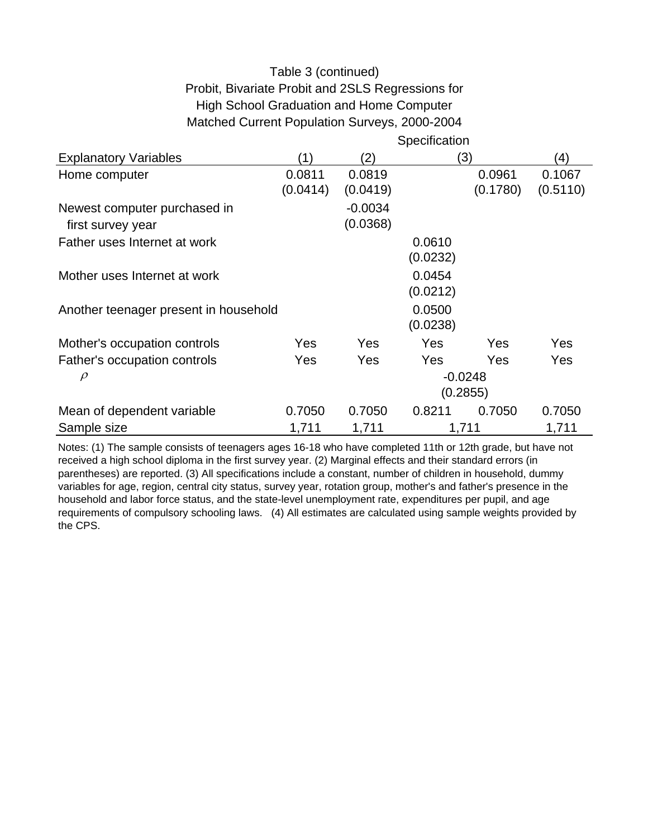# Matched Current Population Surveys, 2000-2004 Table 3 (continued) Probit, Bivariate Probit and 2SLS Regressions for High School Graduation and Home Computer

|                                       | Specification |           |          |           |            |
|---------------------------------------|---------------|-----------|----------|-----------|------------|
| <b>Explanatory Variables</b>          | (1)           | (2)       |          | (3)       | (4)        |
| Home computer                         | 0.0811        | 0.0819    |          | 0.0961    | 0.1067     |
|                                       | (0.0414)      | (0.0419)  |          | (0.1780)  | (0.5110)   |
| Newest computer purchased in          |               | $-0.0034$ |          |           |            |
| first survey year                     |               | (0.0368)  |          |           |            |
| Father uses Internet at work          |               |           | 0.0610   |           |            |
|                                       |               |           | (0.0232) |           |            |
| Mother uses Internet at work          |               |           | 0.0454   |           |            |
|                                       |               |           | (0.0212) |           |            |
| Another teenager present in household |               |           | 0.0500   |           |            |
|                                       |               |           | (0.0238) |           |            |
| Mother's occupation controls          | <b>Yes</b>    | Yes       | Yes      | Yes       | <b>Yes</b> |
| Father's occupation controls          | Yes           | Yes       | Yes      | Yes       | Yes        |
| $\rho$                                |               |           |          | $-0.0248$ |            |
|                                       |               | (0.2855)  |          |           |            |
| Mean of dependent variable            | 0.7050        | 0.7050    | 0.8211   | 0.7050    | 0.7050     |
| Sample size                           | 1,711         | 1,711     |          | 1,711     | 1,711      |

Notes: (1) The sample consists of teenagers ages 16-18 who have completed 11th or 12th grade, but have not received a high school diploma in the first survey year. (2) Marginal effects and their standard errors (in parentheses) are reported. (3) All specifications include a constant, number of children in household, dummy variables for age, region, central city status, survey year, rotation group, mother's and father's presence in the household and labor force status, and the state-level unemployment rate, expenditures per pupil, and age requirements of compulsory schooling laws. (4) All estimates are calculated using sample weights provided by the CPS.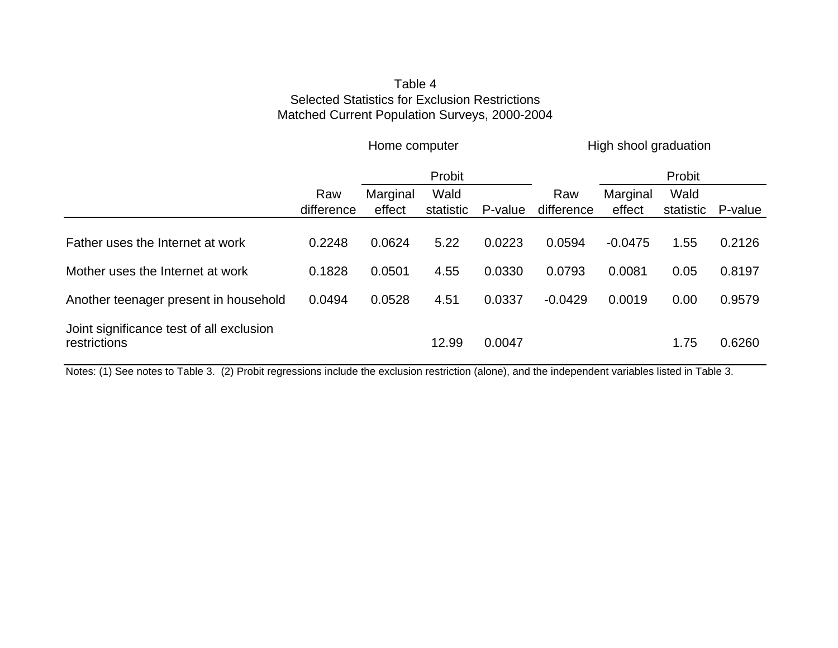## Table 4Selected Statistics for Exclusion RestrictionsMatched Current Population Surveys, 2000-2004

Home computer **High shool graduation** 

|                                                          |            |          | Probit    |         |            |           | Probit    |         |
|----------------------------------------------------------|------------|----------|-----------|---------|------------|-----------|-----------|---------|
|                                                          | Raw        | Marginal | Wald      |         | Raw        | Marginal  | Wald      |         |
|                                                          | difference | effect   | statistic | P-value | difference | effect    | statistic | P-value |
|                                                          |            |          |           |         |            |           |           |         |
| Father uses the Internet at work                         | 0.2248     | 0.0624   | 5.22      | 0.0223  | 0.0594     | $-0.0475$ | 1.55      | 0.2126  |
| Mother uses the Internet at work                         | 0.1828     | 0.0501   | 4.55      | 0.0330  | 0.0793     | 0.0081    | 0.05      | 0.8197  |
| Another teenager present in household                    | 0.0494     | 0.0528   | 4.51      | 0.0337  | $-0.0429$  | 0.0019    | 0.00      | 0.9579  |
| Joint significance test of all exclusion<br>restrictions |            |          | 12.99     | 0.0047  |            |           | 1.75      | 0.6260  |

Notes: (1) See notes to Table 3. (2) Probit regressions include the exclusion restriction (alone), and the independent variables listed in Table 3.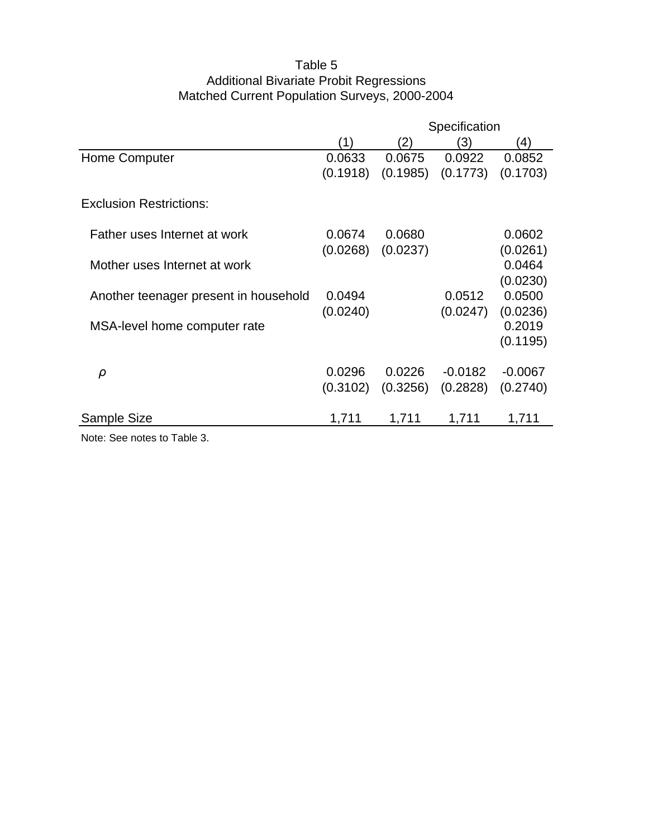# Additional Bivariate Probit Regressions Table 5 Matched Current Population Surveys, 2000-2004

|                                       |          |          | Specification |           |
|---------------------------------------|----------|----------|---------------|-----------|
|                                       | (1)      | 2)       | 3)            | 4)        |
| <b>Home Computer</b>                  | 0.0633   | 0.0675   | 0.0922        | 0.0852    |
|                                       | (0.1918) | (0.1985) | (0.1773)      | (0.1703)  |
| <b>Exclusion Restrictions:</b>        |          |          |               |           |
| Father uses Internet at work          | 0.0674   | 0.0680   |               | 0.0602    |
|                                       | (0.0268) | (0.0237) |               | (0.0261)  |
| Mother uses Internet at work          |          |          |               | 0.0464    |
|                                       |          |          |               | (0.0230)  |
| Another teenager present in household | 0.0494   |          | 0.0512        | 0.0500    |
|                                       | (0.0240) |          | (0.0247)      | (0.0236)  |
| MSA-level home computer rate          |          |          |               | 0.2019    |
|                                       |          |          |               | (0.1195)  |
| ρ                                     | 0.0296   | 0.0226   | $-0.0182$     | $-0.0067$ |
|                                       | (0.3102) | (0.3256) | (0.2828)      | (0.2740)  |
| Sample Size                           | 1,711    | 1,711    | 1,711         | 1,711     |

Note: See notes to Table 3.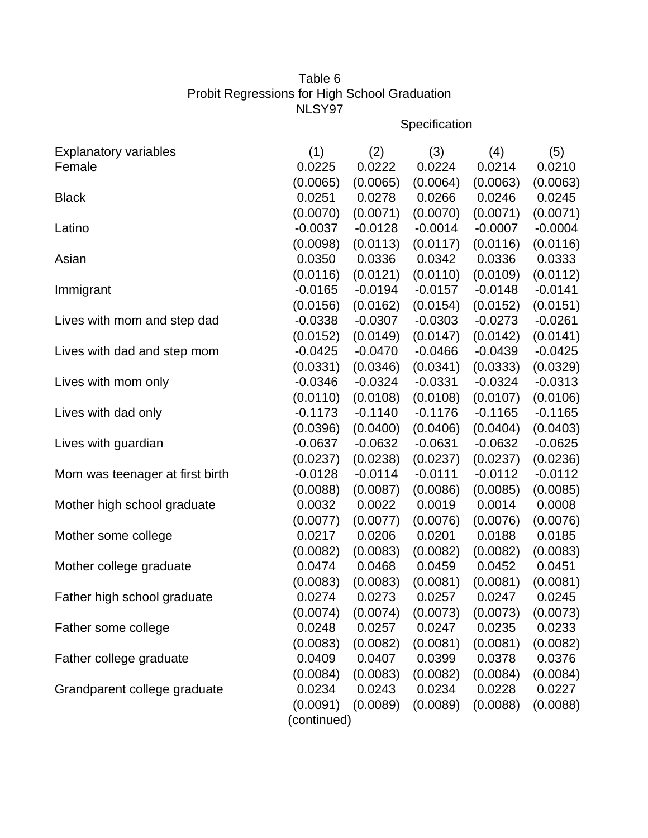# Table 6 Probit Regressions for High School Graduation NLSY97

Specification

| <b>Explanatory variables</b>    | (1)         | (2)       | (3)       | (4)       | (5)       |
|---------------------------------|-------------|-----------|-----------|-----------|-----------|
| Female                          | 0.0225      | 0.0222    | 0.0224    | 0.0214    | 0.0210    |
|                                 | (0.0065)    | (0.0065)  | (0.0064)  | (0.0063)  | (0.0063)  |
| <b>Black</b>                    | 0.0251      | 0.0278    | 0.0266    | 0.0246    | 0.0245    |
|                                 | (0.0070)    | (0.0071)  | (0.0070)  | (0.0071)  | (0.0071)  |
| Latino                          | $-0.0037$   | $-0.0128$ | $-0.0014$ | $-0.0007$ | $-0.0004$ |
|                                 | (0.0098)    | (0.0113)  | (0.0117)  | (0.0116)  | (0.0116)  |
| Asian                           | 0.0350      | 0.0336    | 0.0342    | 0.0336    | 0.0333    |
|                                 | (0.0116)    | (0.0121)  | (0.0110)  | (0.0109)  | (0.0112)  |
| Immigrant                       | $-0.0165$   | $-0.0194$ | $-0.0157$ | $-0.0148$ | $-0.0141$ |
|                                 | (0.0156)    | (0.0162)  | (0.0154)  | (0.0152)  | (0.0151)  |
| Lives with mom and step dad     | $-0.0338$   | $-0.0307$ | $-0.0303$ | $-0.0273$ | $-0.0261$ |
|                                 | (0.0152)    | (0.0149)  | (0.0147)  | (0.0142)  | (0.0141)  |
| Lives with dad and step mom     | $-0.0425$   | $-0.0470$ | $-0.0466$ | $-0.0439$ | $-0.0425$ |
|                                 | (0.0331)    | (0.0346)  | (0.0341)  | (0.0333)  | (0.0329)  |
| Lives with mom only             | $-0.0346$   | $-0.0324$ | $-0.0331$ | $-0.0324$ | $-0.0313$ |
|                                 | (0.0110)    | (0.0108)  | (0.0108)  | (0.0107)  | (0.0106)  |
| Lives with dad only             | $-0.1173$   | $-0.1140$ | $-0.1176$ | $-0.1165$ | $-0.1165$ |
|                                 | (0.0396)    | (0.0400)  | (0.0406)  | (0.0404)  | (0.0403)  |
| Lives with guardian             | $-0.0637$   | $-0.0632$ | $-0.0631$ | $-0.0632$ | $-0.0625$ |
|                                 | (0.0237)    | (0.0238)  | (0.0237)  | (0.0237)  | (0.0236)  |
| Mom was teenager at first birth | $-0.0128$   | $-0.0114$ | $-0.0111$ | $-0.0112$ | $-0.0112$ |
|                                 | (0.0088)    | (0.0087)  | (0.0086)  | (0.0085)  | (0.0085)  |
| Mother high school graduate     | 0.0032      | 0.0022    | 0.0019    | 0.0014    | 0.0008    |
|                                 | (0.0077)    | (0.0077)  | (0.0076)  | (0.0076)  | (0.0076)  |
| Mother some college             | 0.0217      | 0.0206    | 0.0201    | 0.0188    | 0.0185    |
|                                 | (0.0082)    | (0.0083)  | (0.0082)  | (0.0082)  | (0.0083)  |
| Mother college graduate         | 0.0474      | 0.0468    | 0.0459    | 0.0452    | 0.0451    |
|                                 | (0.0083)    | (0.0083)  | (0.0081)  | (0.0081)  | (0.0081)  |
| Father high school graduate     | 0.0274      | 0.0273    | 0.0257    | 0.0247    | 0.0245    |
|                                 | (0.0074)    | (0.0074)  | (0.0073)  | (0.0073)  | (0.0073)  |
| Father some college             | 0.0248      | 0.0257    | 0.0247    | 0.0235    | 0.0233    |
|                                 | (0.0083)    | (0.0082)  | (0.0081)  | (0.0081)  | (0.0082)  |
| Father college graduate         | 0.0409      | 0.0407    | 0.0399    | 0.0378    | 0.0376    |
|                                 | (0.0084)    | (0.0083)  | (0.0082)  | (0.0084)  | (0.0084)  |
| Grandparent college graduate    | 0.0234      | 0.0243    | 0.0234    | 0.0228    | 0.0227    |
|                                 | (0.0091)    | (0.0089)  | (0.0089)  | (0.0088)  | (0.0088)  |
|                                 | (continued) |           |           |           |           |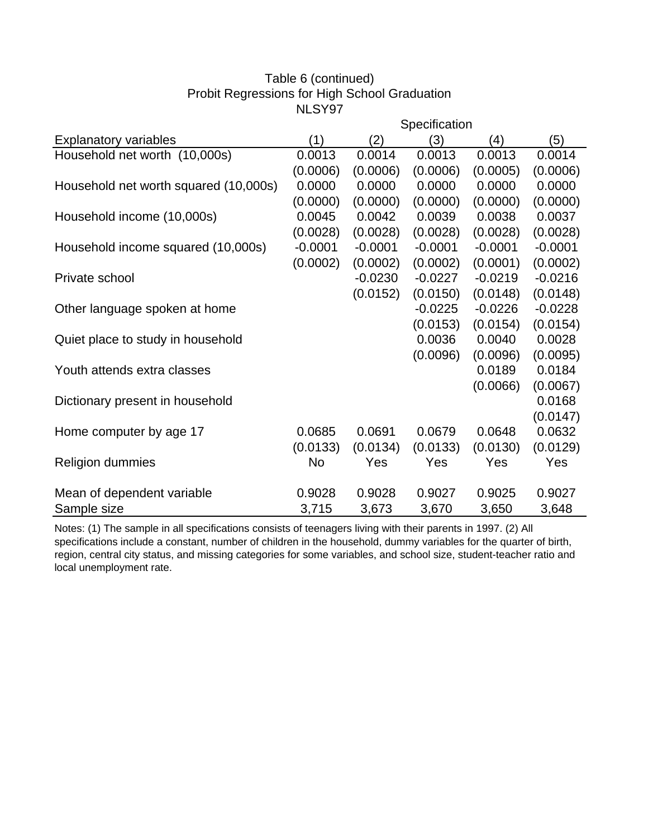|                                       | Specification |           |           |           |           |
|---------------------------------------|---------------|-----------|-----------|-----------|-----------|
| <b>Explanatory variables</b>          | (1)           | (2)       | (3)       | (4)       | (5)       |
| Household net worth (10,000s)         | 0.0013        | 0.0014    | 0.0013    | 0.0013    | 0.0014    |
|                                       | (0.0006)      | (0.0006)  | (0.0006)  | (0.0005)  | (0.0006)  |
| Household net worth squared (10,000s) | 0.0000        | 0.0000    | 0.0000    | 0.0000    | 0.0000    |
|                                       | (0.0000)      | (0.0000)  | (0.0000)  | (0.0000)  | (0.0000)  |
| Household income (10,000s)            | 0.0045        | 0.0042    | 0.0039    | 0.0038    | 0.0037    |
|                                       | (0.0028)      | (0.0028)  | (0.0028)  | (0.0028)  | (0.0028)  |
| Household income squared (10,000s)    | $-0.0001$     | $-0.0001$ | $-0.0001$ | $-0.0001$ | $-0.0001$ |
|                                       | (0.0002)      | (0.0002)  | (0.0002)  | (0.0001)  | (0.0002)  |
| Private school                        |               | $-0.0230$ | $-0.0227$ | $-0.0219$ | $-0.0216$ |
|                                       |               | (0.0152)  | (0.0150)  | (0.0148)  | (0.0148)  |
| Other language spoken at home         |               |           | $-0.0225$ | $-0.0226$ | $-0.0228$ |
|                                       |               |           | (0.0153)  | (0.0154)  | (0.0154)  |
| Quiet place to study in household     |               |           | 0.0036    | 0.0040    | 0.0028    |
|                                       |               |           | (0.0096)  | (0.0096)  | (0.0095)  |
| Youth attends extra classes           |               |           |           | 0.0189    | 0.0184    |
|                                       |               |           |           | (0.0066)  | (0.0067)  |
| Dictionary present in household       |               |           |           |           | 0.0168    |
|                                       |               |           |           |           | (0.0147)  |
| Home computer by age 17               | 0.0685        | 0.0691    | 0.0679    | 0.0648    | 0.0632    |
|                                       | (0.0133)      | (0.0134)  | (0.0133)  | (0.0130)  | (0.0129)  |
| Religion dummies                      | No            | Yes       | Yes       | Yes       | Yes       |
| Mean of dependent variable            | 0.9028        | 0.9028    | 0.9027    | 0.9025    | 0.9027    |
| Sample size                           | 3,715         | 3,673     | 3,670     | 3,650     | 3,648     |

## Probit Regressions for High School Graduation Table 6 (continued) NLSY97

Notes: (1) The sample in all specifications consists of teenagers living with their parents in 1997. (2) All specifications include a constant, number of children in the household, dummy variables for the quarter of birth, region, central city status, and missing categories for some variables, and school size, student-teacher ratio and local unemployment rate.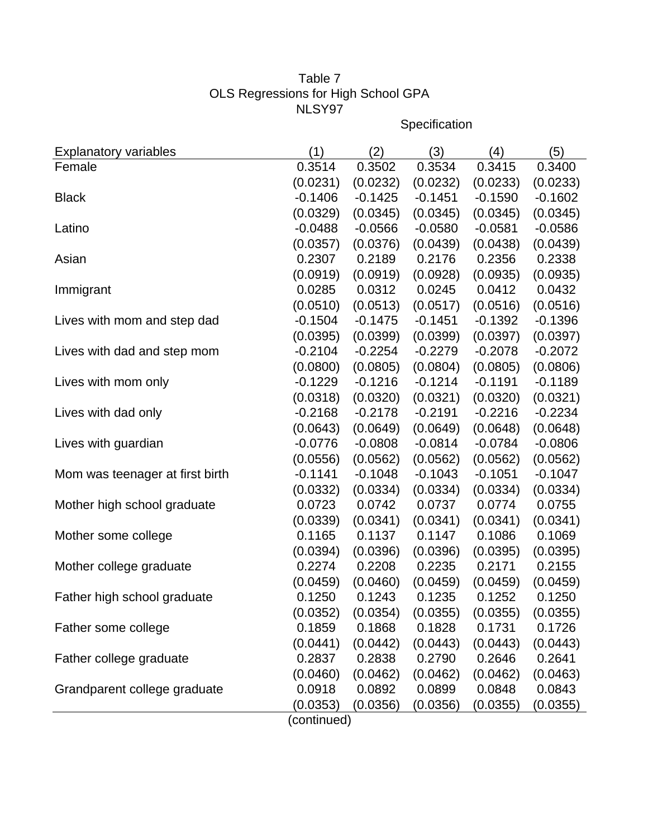# Table 7 OLS Regressions for High School GPA NLSY97

Specification

| <b>Explanatory variables</b>    | (1)         | (2)       | (3)       | (4)       | (5)       |
|---------------------------------|-------------|-----------|-----------|-----------|-----------|
| Female                          | 0.3514      | 0.3502    | 0.3534    | 0.3415    | 0.3400    |
|                                 | (0.0231)    | (0.0232)  | (0.0232)  | (0.0233)  | (0.0233)  |
| <b>Black</b>                    | $-0.1406$   | $-0.1425$ | $-0.1451$ | $-0.1590$ | $-0.1602$ |
|                                 | (0.0329)    | (0.0345)  | (0.0345)  | (0.0345)  | (0.0345)  |
| Latino                          | $-0.0488$   | $-0.0566$ | $-0.0580$ | $-0.0581$ | $-0.0586$ |
|                                 | (0.0357)    | (0.0376)  | (0.0439)  | (0.0438)  | (0.0439)  |
| Asian                           | 0.2307      | 0.2189    | 0.2176    | 0.2356    | 0.2338    |
|                                 | (0.0919)    | (0.0919)  | (0.0928)  | (0.0935)  | (0.0935)  |
| Immigrant                       | 0.0285      | 0.0312    | 0.0245    | 0.0412    | 0.0432    |
|                                 | (0.0510)    | (0.0513)  | (0.0517)  | (0.0516)  | (0.0516)  |
| Lives with mom and step dad     | $-0.1504$   | $-0.1475$ | $-0.1451$ | $-0.1392$ | $-0.1396$ |
|                                 | (0.0395)    | (0.0399)  | (0.0399)  | (0.0397)  | (0.0397)  |
| Lives with dad and step mom     | $-0.2104$   | $-0.2254$ | $-0.2279$ | $-0.2078$ | $-0.2072$ |
|                                 | (0.0800)    | (0.0805)  | (0.0804)  | (0.0805)  | (0.0806)  |
| Lives with mom only             | $-0.1229$   | $-0.1216$ | $-0.1214$ | $-0.1191$ | $-0.1189$ |
|                                 | (0.0318)    | (0.0320)  | (0.0321)  | (0.0320)  | (0.0321)  |
| Lives with dad only             | $-0.2168$   | $-0.2178$ | $-0.2191$ | $-0.2216$ | $-0.2234$ |
|                                 | (0.0643)    | (0.0649)  | (0.0649)  | (0.0648)  | (0.0648)  |
| Lives with guardian             | $-0.0776$   | $-0.0808$ | $-0.0814$ | $-0.0784$ | $-0.0806$ |
|                                 | (0.0556)    | (0.0562)  | (0.0562)  | (0.0562)  | (0.0562)  |
| Mom was teenager at first birth | $-0.1141$   | $-0.1048$ | $-0.1043$ | $-0.1051$ | $-0.1047$ |
|                                 | (0.0332)    | (0.0334)  | (0.0334)  | (0.0334)  | (0.0334)  |
| Mother high school graduate     | 0.0723      | 0.0742    | 0.0737    | 0.0774    | 0.0755    |
|                                 | (0.0339)    | (0.0341)  | (0.0341)  | (0.0341)  | (0.0341)  |
| Mother some college             | 0.1165      | 0.1137    | 0.1147    | 0.1086    | 0.1069    |
|                                 | (0.0394)    | (0.0396)  | (0.0396)  | (0.0395)  | (0.0395)  |
| Mother college graduate         | 0.2274      | 0.2208    | 0.2235    | 0.2171    | 0.2155    |
|                                 | (0.0459)    | (0.0460)  | (0.0459)  | (0.0459)  | (0.0459)  |
| Father high school graduate     | 0.1250      | 0.1243    | 0.1235    | 0.1252    | 0.1250    |
|                                 | (0.0352)    | (0.0354)  | (0.0355)  | (0.0355)  | (0.0355)  |
| Father some college             | 0.1859      | 0.1868    | 0.1828    | 0.1731    | 0.1726    |
|                                 | (0.0441)    | (0.0442)  | (0.0443)  | (0.0443)  | (0.0443)  |
| Father college graduate         | 0.2837      | 0.2838    | 0.2790    | 0.2646    | 0.2641    |
|                                 | (0.0460)    | (0.0462)  | (0.0462)  | (0.0462)  | (0.0463)  |
| Grandparent college graduate    | 0.0918      | 0.0892    | 0.0899    | 0.0848    | 0.0843    |
|                                 | (0.0353)    | (0.0356)  | (0.0356)  | (0.0355)  | (0.0355)  |
|                                 | (continued) |           |           |           |           |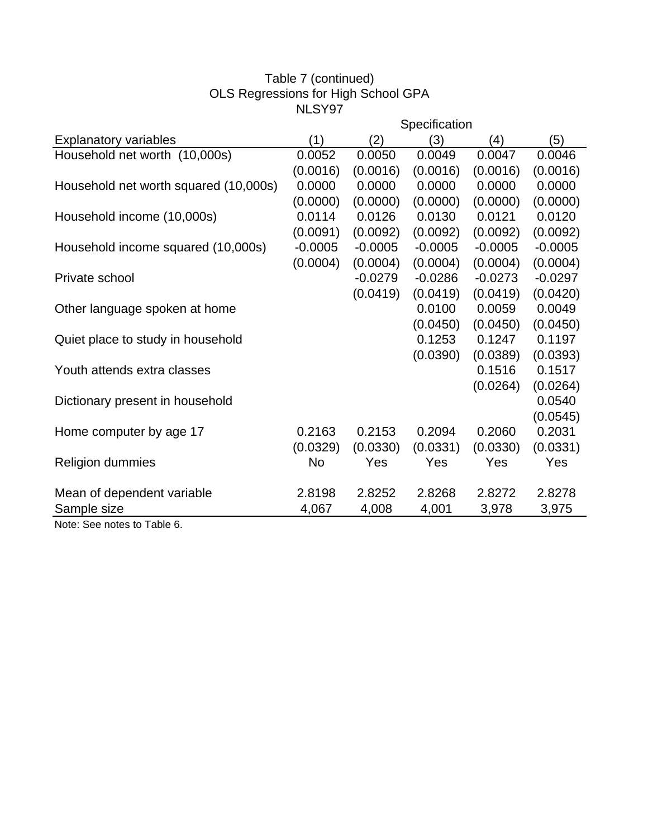|                                       | 1 LU I U I    |           |           |           |           |
|---------------------------------------|---------------|-----------|-----------|-----------|-----------|
|                                       | Specification |           |           |           |           |
| <b>Explanatory variables</b>          | (1)           | (2)       | (3)       | (4)       | (5)       |
| Household net worth (10,000s)         | 0.0052        | 0.0050    | 0.0049    | 0.0047    | 0.0046    |
|                                       | (0.0016)      | (0.0016)  | (0.0016)  | (0.0016)  | (0.0016)  |
| Household net worth squared (10,000s) | 0.0000        | 0.0000    | 0.0000    | 0.0000    | 0.0000    |
|                                       | (0.0000)      | (0.0000)  | (0.0000)  | (0.0000)  | (0.0000)  |
| Household income (10,000s)            | 0.0114        | 0.0126    | 0.0130    | 0.0121    | 0.0120    |
|                                       | (0.0091)      | (0.0092)  | (0.0092)  | (0.0092)  | (0.0092)  |
| Household income squared (10,000s)    | $-0.0005$     | $-0.0005$ | $-0.0005$ | $-0.0005$ | $-0.0005$ |
|                                       | (0.0004)      | (0.0004)  | (0.0004)  | (0.0004)  | (0.0004)  |
| Private school                        |               | $-0.0279$ | $-0.0286$ | $-0.0273$ | $-0.0297$ |
|                                       |               | (0.0419)  | (0.0419)  | (0.0419)  | (0.0420)  |
| Other language spoken at home         |               |           | 0.0100    | 0.0059    | 0.0049    |
|                                       |               |           | (0.0450)  | (0.0450)  | (0.0450)  |
| Quiet place to study in household     |               |           | 0.1253    | 0.1247    | 0.1197    |
|                                       |               |           | (0.0390)  | (0.0389)  | (0.0393)  |
| Youth attends extra classes           |               |           |           | 0.1516    | 0.1517    |
|                                       |               |           |           | (0.0264)  | (0.0264)  |
| Dictionary present in household       |               |           |           |           | 0.0540    |
|                                       |               |           |           |           | (0.0545)  |
| Home computer by age 17               | 0.2163        | 0.2153    | 0.2094    | 0.2060    | 0.2031    |
|                                       | (0.0329)      | (0.0330)  | (0.0331)  | (0.0330)  | (0.0331)  |
| Religion dummies                      | No            | Yes       | Yes       | Yes       | Yes       |
| Mean of dependent variable            | 2.8198        | 2.8252    | 2.8268    | 2.8272    | 2.8278    |
| Sample size                           | 4,067         | 4,008     | 4,001     | 3,978     | 3,975     |
|                                       |               |           |           |           |           |

## OLS Regressions for High School GPA Table 7 (continued) NLSY97

Note: See notes to Table 6.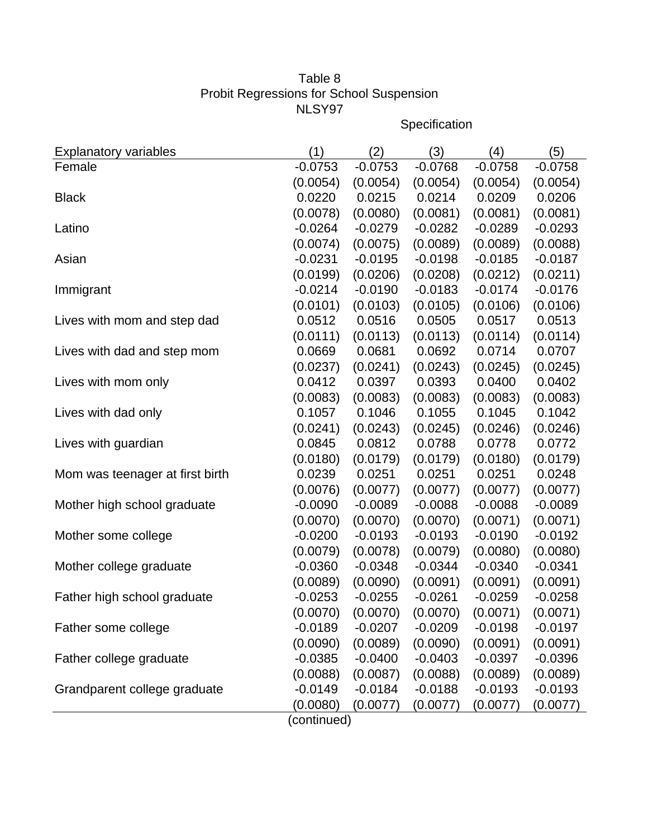# Table 8 Probit Regressions for School Suspension NLSY97

Specification

| <b>Explanatory variables</b>    | (1)         | (2)       | (3)       | (4)       | (5)       |
|---------------------------------|-------------|-----------|-----------|-----------|-----------|
| Female                          | $-0.0753$   | $-0.0753$ | $-0.0768$ | $-0.0758$ | $-0.0758$ |
|                                 | (0.0054)    | (0.0054)  | (0.0054)  | (0.0054)  | (0.0054)  |
| <b>Black</b>                    | 0.0220      | 0.0215    | 0.0214    | 0.0209    | 0.0206    |
|                                 | (0.0078)    | (0.0080)  | (0.0081)  | (0.0081)  | (0.0081)  |
| Latino                          | $-0.0264$   | $-0.0279$ | $-0.0282$ | $-0.0289$ | $-0.0293$ |
|                                 | (0.0074)    | (0.0075)  | (0.0089)  | (0.0089)  | (0.0088)  |
| Asian                           | $-0.0231$   | $-0.0195$ | $-0.0198$ | $-0.0185$ | $-0.0187$ |
|                                 | (0.0199)    | (0.0206)  | (0.0208)  | (0.0212)  | (0.0211)  |
| Immigrant                       | $-0.0214$   | $-0.0190$ | $-0.0183$ | $-0.0174$ | $-0.0176$ |
|                                 | (0.0101)    | (0.0103)  | (0.0105)  | (0.0106)  | (0.0106)  |
| Lives with mom and step dad     | 0.0512      | 0.0516    | 0.0505    | 0.0517    | 0.0513    |
|                                 | (0.0111)    | (0.0113)  | (0.0113)  | (0.0114)  | (0.0114)  |
| Lives with dad and step mom     | 0.0669      | 0.0681    | 0.0692    | 0.0714    | 0.0707    |
|                                 | (0.0237)    | (0.0241)  | (0.0243)  | (0.0245)  | (0.0245)  |
| Lives with mom only             | 0.0412      | 0.0397    | 0.0393    | 0.0400    | 0.0402    |
|                                 | (0.0083)    | (0.0083)  | (0.0083)  | (0.0083)  | (0.0083)  |
| Lives with dad only             | 0.1057      | 0.1046    | 0.1055    | 0.1045    | 0.1042    |
|                                 | (0.0241)    | (0.0243)  | (0.0245)  | (0.0246)  | (0.0246)  |
| Lives with guardian             | 0.0845      | 0.0812    | 0.0788    | 0.0778    | 0.0772    |
|                                 | (0.0180)    | (0.0179)  | (0.0179)  | (0.0180)  | (0.0179)  |
| Mom was teenager at first birth | 0.0239      | 0.0251    | 0.0251    | 0.0251    | 0.0248    |
|                                 | (0.0076)    | (0.0077)  | (0.0077)  | (0.0077)  | (0.0077)  |
| Mother high school graduate     | $-0.0090$   | $-0.0089$ | $-0.0088$ | $-0.0088$ | $-0.0089$ |
|                                 | (0.0070)    | (0.0070)  | (0.0070)  | (0.0071)  | (0.0071)  |
| Mother some college             | $-0.0200$   | $-0.0193$ | $-0.0193$ | $-0.0190$ | $-0.0192$ |
|                                 | (0.0079)    | (0.0078)  | (0.0079)  | (0.0080)  | (0.0080)  |
| Mother college graduate         | $-0.0360$   | $-0.0348$ | $-0.0344$ | $-0.0340$ | $-0.0341$ |
|                                 | (0.0089)    | (0.0090)  | (0.0091)  | (0.0091)  | (0.0091)  |
| Father high school graduate     | $-0.0253$   | $-0.0255$ | $-0.0261$ | $-0.0259$ | $-0.0258$ |
|                                 | (0.0070)    | (0.0070)  | (0.0070)  | (0.0071)  | (0.0071)  |
| Father some college             | $-0.0189$   | $-0.0207$ | $-0.0209$ | $-0.0198$ | $-0.0197$ |
|                                 | (0.0090)    | (0.0089)  | (0.0090)  | (0.0091)  | (0.0091)  |
| Father college graduate         | $-0.0385$   | $-0.0400$ | $-0.0403$ | $-0.0397$ | $-0.0396$ |
|                                 | (0.0088)    | (0.0087)  | (0.0088)  | (0.0089)  | (0.0089)  |
| Grandparent college graduate    | $-0.0149$   | $-0.0184$ | $-0.0188$ | $-0.0193$ | $-0.0193$ |
|                                 | (0.0080)    | (0.0077)  | (0.0077)  | (0.0077)  | (0.0077)  |
|                                 | (continued) |           |           |           |           |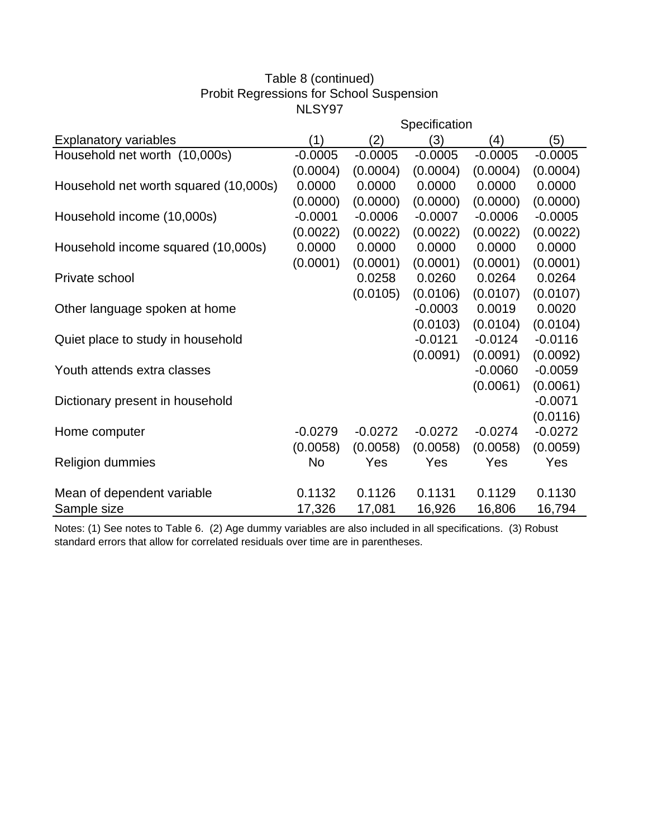| Table 8 (continued)                             |
|-------------------------------------------------|
| <b>Probit Regressions for School Suspension</b> |
| NLSY <sub>97</sub>                              |

|                                       | Specification |           |           |           |           |
|---------------------------------------|---------------|-----------|-----------|-----------|-----------|
| <b>Explanatory variables</b>          | (1)           | (2)       | (3)       | (4)       | (5)       |
| Household net worth (10,000s)         | $-0.0005$     | $-0.0005$ | $-0.0005$ | $-0.0005$ | $-0.0005$ |
|                                       | (0.0004)      | (0.0004)  | (0.0004)  | (0.0004)  | (0.0004)  |
| Household net worth squared (10,000s) | 0.0000        | 0.0000    | 0.0000    | 0.0000    | 0.0000    |
|                                       | (0.0000)      | (0.0000)  | (0.0000)  | (0.0000)  | (0.0000)  |
| Household income (10,000s)            | $-0.0001$     | $-0.0006$ | $-0.0007$ | $-0.0006$ | $-0.0005$ |
|                                       | (0.0022)      | (0.0022)  | (0.0022)  | (0.0022)  | (0.0022)  |
| Household income squared (10,000s)    | 0.0000        | 0.0000    | 0.0000    | 0.0000    | 0.0000    |
|                                       | (0.0001)      | (0.0001)  | (0.0001)  | (0.0001)  | (0.0001)  |
| Private school                        |               | 0.0258    | 0.0260    | 0.0264    | 0.0264    |
|                                       |               | (0.0105)  | (0.0106)  | (0.0107)  | (0.0107)  |
| Other language spoken at home         |               |           | $-0.0003$ | 0.0019    | 0.0020    |
|                                       |               |           | (0.0103)  | (0.0104)  | (0.0104)  |
| Quiet place to study in household     |               |           | $-0.0121$ | $-0.0124$ | $-0.0116$ |
|                                       |               |           | (0.0091)  | (0.0091)  | (0.0092)  |
| Youth attends extra classes           |               |           |           | $-0.0060$ | $-0.0059$ |
|                                       |               |           |           | (0.0061)  | (0.0061)  |
| Dictionary present in household       |               |           |           |           | $-0.0071$ |
|                                       |               |           |           |           | (0.0116)  |
| Home computer                         | $-0.0279$     | $-0.0272$ | $-0.0272$ | $-0.0274$ | $-0.0272$ |
|                                       | (0.0058)      | (0.0058)  | (0.0058)  | (0.0058)  | (0.0059)  |
| Religion dummies                      | No            | Yes       | Yes       | Yes       | Yes       |
|                                       |               |           |           |           |           |
| Mean of dependent variable            | 0.1132        | 0.1126    | 0.1131    | 0.1129    | 0.1130    |
| Sample size                           | 17,326        | 17,081    | 16,926    | 16,806    | 16,794    |

Notes: (1) See notes to Table 6. (2) Age dummy variables are also included in all specifications. (3) Robust standard errors that allow for correlated residuals over time are in parentheses.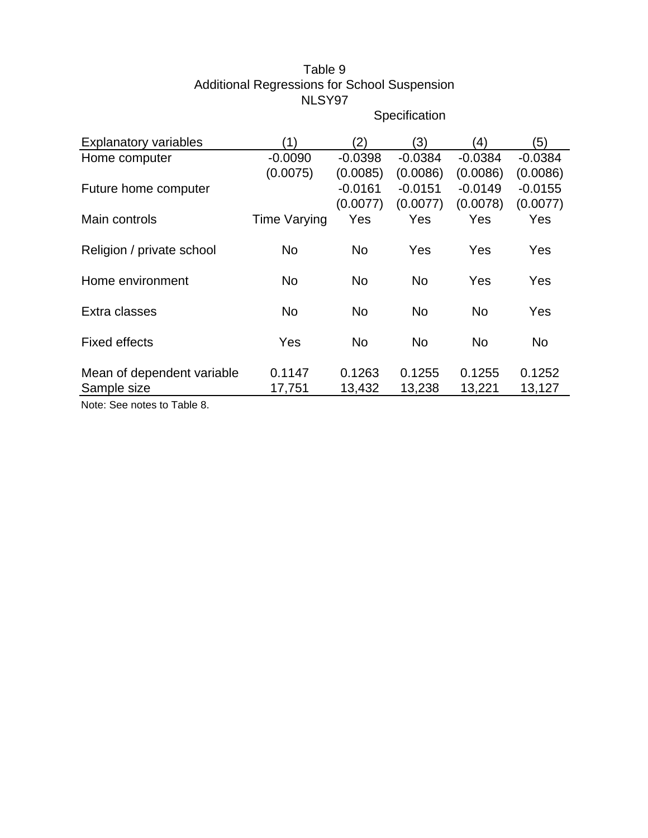# Table 9 Additional Regressions for School Suspension NLSY97 Specification

| <b>Explanatory variables</b>              | $\mathbf{1}$ | 2)        | (3)       | 4)        | (5)       |
|-------------------------------------------|--------------|-----------|-----------|-----------|-----------|
| Home computer                             | $-0.0090$    | $-0.0398$ | $-0.0384$ | $-0.0384$ | $-0.0384$ |
|                                           | (0.0075)     | (0.0085)  | (0.0086)  | (0.0086)  | (0.0086)  |
| Future home computer                      |              | $-0.0161$ | $-0.0151$ | $-0.0149$ | $-0.0155$ |
|                                           |              | (0.0077)  | (0.0077)  | (0.0078)  | (0.0077)  |
| Main controls                             | Time Varying | Yes       | Yes       | Yes       | Yes       |
|                                           |              |           |           |           |           |
| Religion / private school                 | No           | <b>No</b> | Yes       | Yes       | Yes       |
|                                           |              |           |           |           |           |
| Home environment                          | <b>No</b>    | <b>No</b> | <b>No</b> | Yes       | Yes       |
|                                           |              |           |           |           |           |
| Extra classes                             | <b>No</b>    | <b>No</b> | <b>No</b> | <b>No</b> | Yes       |
|                                           |              |           |           |           |           |
| <b>Fixed effects</b>                      | Yes          | <b>No</b> | <b>No</b> | <b>No</b> | <b>No</b> |
|                                           | 0.1147       | 0.1263    | 0.1255    | 0.1255    | 0.1252    |
| Mean of dependent variable<br>Sample size | 17,751       | 13,432    | 13,238    | 13,221    | 13,127    |
| $\cdots$ $\sim$ $\cdots$ $\cdots$         |              |           |           |           |           |

Note: See notes to Table 8.